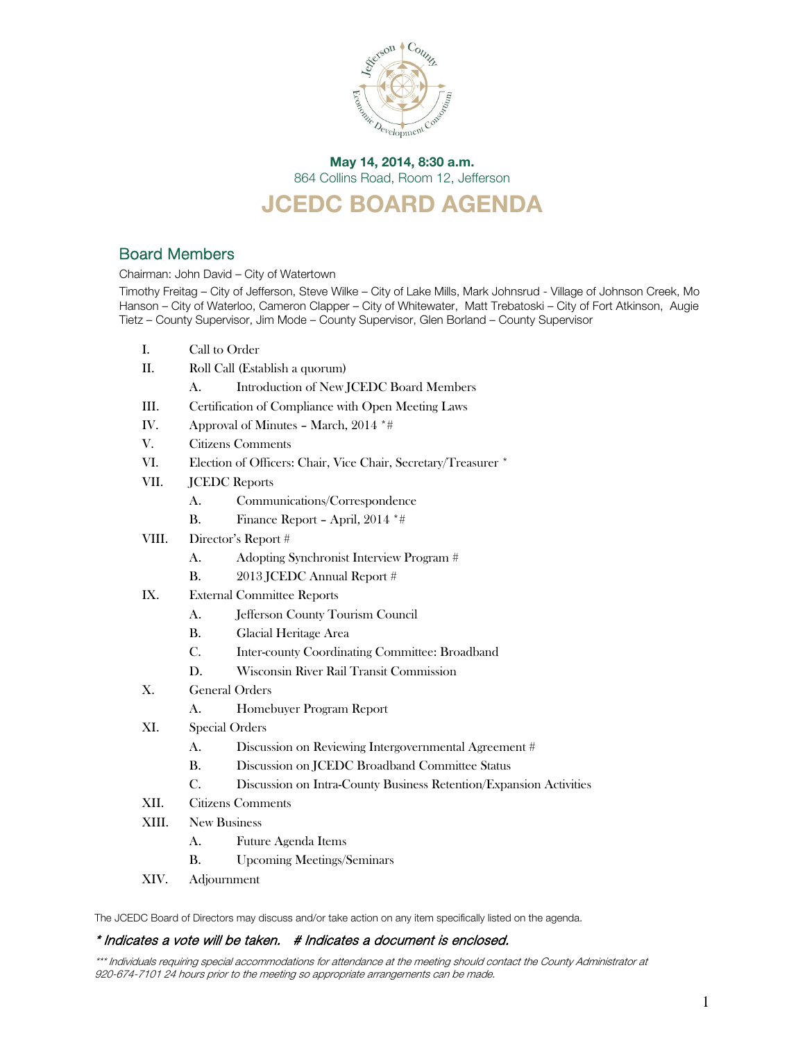

### May 14, 2014, 8:30 a.m. 864 Collins Road, Room 12, Jefferson

# JCEDC BOARD AGENDA

# Board Members

Chairman: John David – City of Watertown

Timothy Freitag – City of Jefferson, Steve Wilke – City of Lake Mills, Mark Johnsrud - Village of Johnson Creek, Mo Hanson – City of Waterloo, Cameron Clapper – City of Whitewater, Matt Trebatoski – City of Fort Atkinson, Augie Tietz – County Supervisor, Jim Mode – County Supervisor, Glen Borland – County Supervisor

- I. Call to Order
- II. Roll Call (Establish a quorum)
	- A. Introduction of New JCEDC Board Members
- III. Certification of Compliance with Open Meeting Laws
- IV. Approval of Minutes March, 2014 \*#
- V. Citizens Comments
- VI. Election of Officers: Chair, Vice Chair, Secretary/Treasurer \*
- VII. JCEDC Reports
	- A. Communications/Correspondence
	- B. Finance Report April, 2014 \*#
- VIII. Director's Report #
	- A. Adopting Synchronist Interview Program #
	- B. 2013 JCEDC Annual Report #
- IX. External Committee Reports
	- A. Jefferson County Tourism Council
	- B. Glacial Heritage Area
	- C. Inter-county Coordinating Committee: Broadband
	- D. Wisconsin River Rail Transit Commission
- X. General Orders
	- A. Homebuyer Program Report
- XI. Special Orders
	- A. Discussion on Reviewing Intergovernmental Agreement #
	- B. Discussion on JCEDC Broadband Committee Status
	- C. Discussion on Intra-County Business Retention/Expansion Activities
- XII. Citizens Comments
- XIII. New Business
	- A. Future Agenda Items
	- B. Upcoming Meetings/Seminars
- XIV. Adjournment

The JCEDC Board of Directors may discuss and/or take action on any item specifically listed on the agenda.

#### \* Indicates a vote will be taken. # Indicates a document is enclosed.

\*\*\* Individuals requiring special accommodations for attendance at the meeting should contact the County Administrator at 920-674-7101 24 hours prior to the meeting so appropriate arrangements can be made.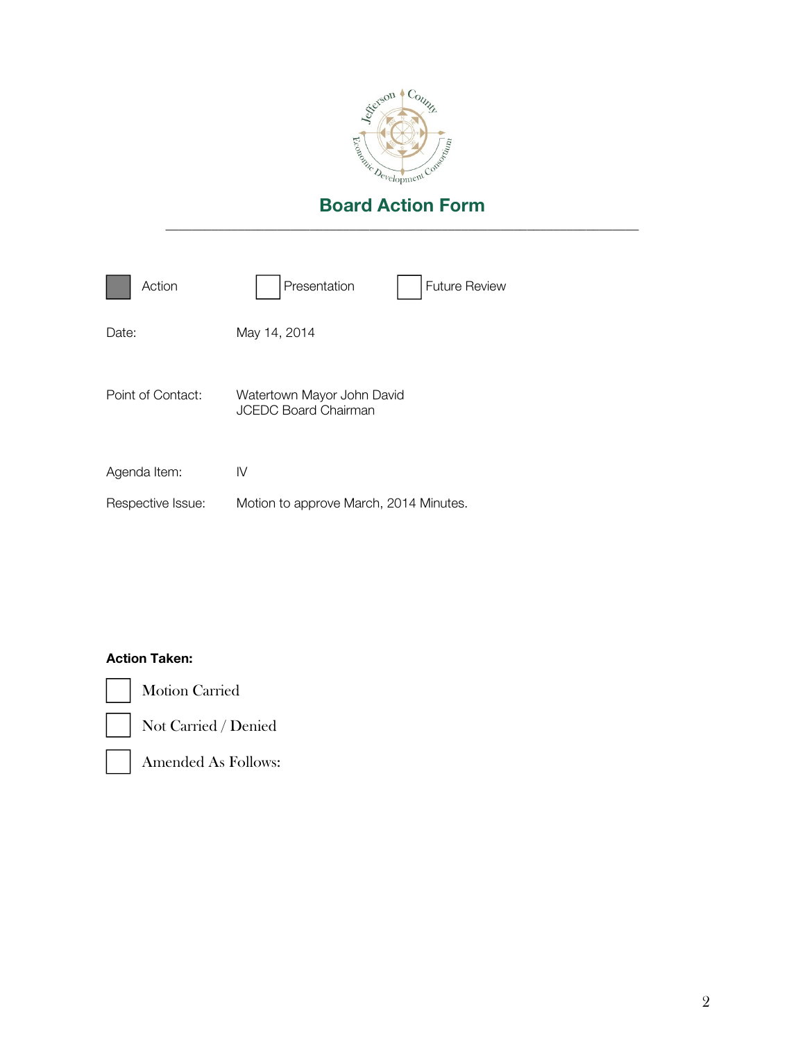

| Action            | Presentation<br><b>Future Review</b>                      |
|-------------------|-----------------------------------------------------------|
| Date:             | May 14, 2014                                              |
| Point of Contact: | Watertown Mayor John David<br><b>JCEDC Board Chairman</b> |
| Agenda Item:      | IV                                                        |
| Respective Issue: | Motion to approve March, 2014 Minutes.                    |

### Action Taken:

Motion Carried



Not Carried / Denied



Amended As Follows: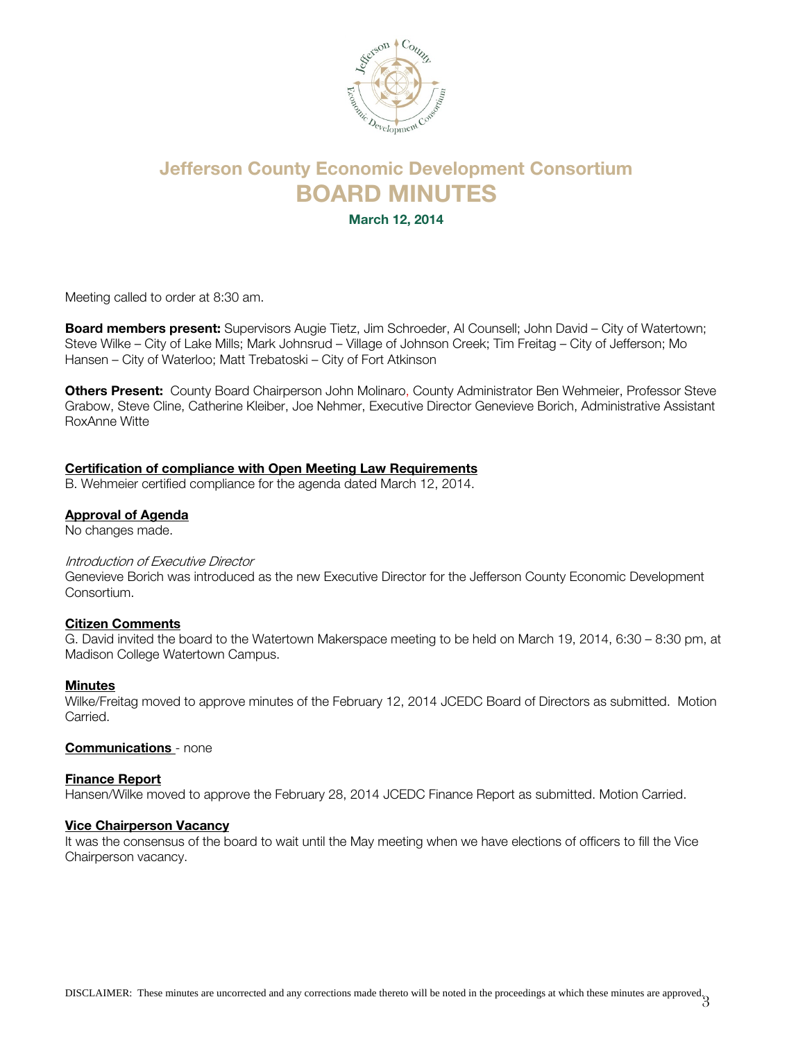

# Jefferson County Economic Development Consortium BOARD MINUTES

March 12, 2014

Meeting called to order at 8:30 am.

**Board members present:** Supervisors Augie Tietz, Jim Schroeder, Al Counsell; John David – City of Watertown; Steve Wilke – City of Lake Mills; Mark Johnsrud – Village of Johnson Creek; Tim Freitag – City of Jefferson; Mo Hansen – City of Waterloo; Matt Trebatoski – City of Fort Atkinson

Others Present: County Board Chairperson John Molinaro, County Administrator Ben Wehmeier, Professor Steve Grabow, Steve Cline, Catherine Kleiber, Joe Nehmer, Executive Director Genevieve Borich, Administrative Assistant RoxAnne Witte

#### Certification of compliance with Open Meeting Law Requirements

B. Wehmeier certified compliance for the agenda dated March 12, 2014.

#### Approval of Agenda

No changes made.

#### Introduction of Executive Director

Genevieve Borich was introduced as the new Executive Director for the Jefferson County Economic Development Consortium.

#### Citizen Comments

G. David invited the board to the Watertown Makerspace meeting to be held on March 19, 2014, 6:30 – 8:30 pm, at Madison College Watertown Campus.

#### Minutes

Wilke/Freitag moved to approve minutes of the February 12, 2014 JCEDC Board of Directors as submitted. Motion Carried.

#### Communications - none

#### Finance Report

Hansen/Wilke moved to approve the February 28, 2014 JCEDC Finance Report as submitted. Motion Carried.

#### Vice Chairperson Vacancy

It was the consensus of the board to wait until the May meeting when we have elections of officers to fill the Vice Chairperson vacancy.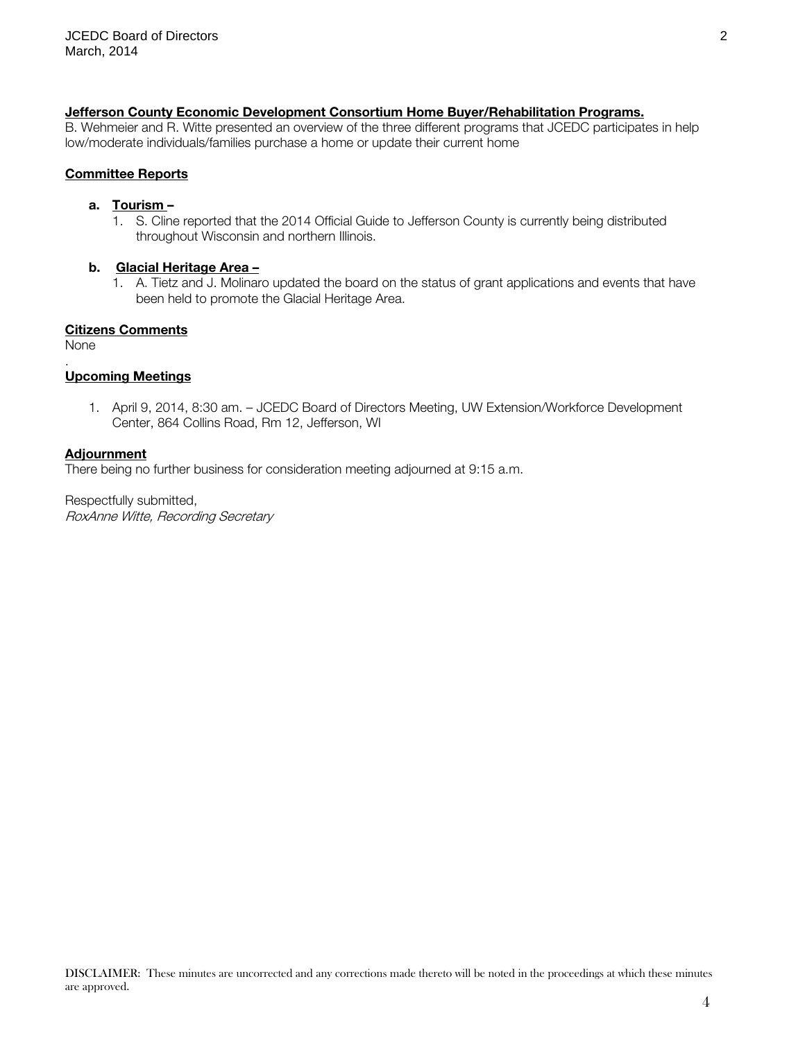#### Jefferson County Economic Development Consortium Home Buyer/Rehabilitation Programs.

B. Wehmeier and R. Witte presented an overview of the three different programs that JCEDC participates in help low/moderate individuals/families purchase a home or update their current home

#### Committee Reports

#### a. Tourism –

1. S. Cline reported that the 2014 Official Guide to Jefferson County is currently being distributed throughout Wisconsin and northern Illinois.

#### b. Glacial Heritage Area –

1. A. Tietz and J. Molinaro updated the board on the status of grant applications and events that have been held to promote the Glacial Heritage Area.

#### Citizens Comments

None

.

#### Upcoming Meetings

1. April 9, 2014, 8:30 am. – JCEDC Board of Directors Meeting, UW Extension/Workforce Development Center, 864 Collins Road, Rm 12, Jefferson, WI

#### **Adjournment**

There being no further business for consideration meeting adjourned at 9:15 a.m.

Respectfully submitted, RoxAnne Witte, Recording Secretary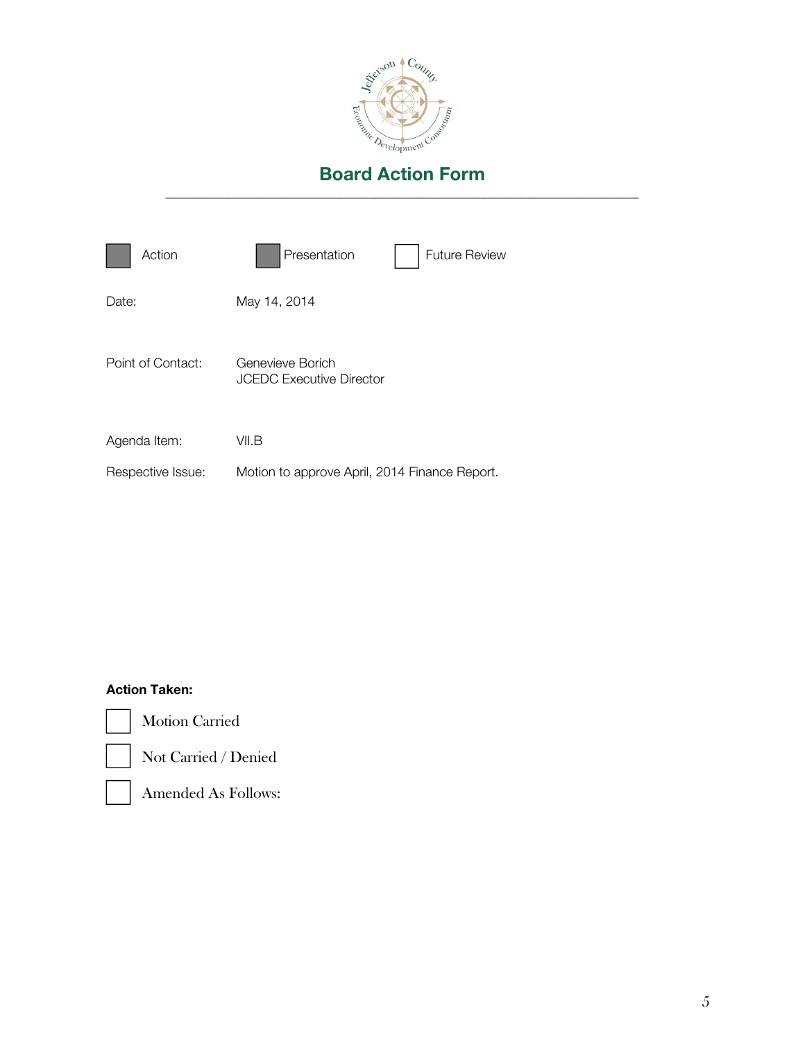

| Action            | Presentation<br><b>Future Review</b>          |
|-------------------|-----------------------------------------------|
| Date:             | May 14, 2014                                  |
| Point of Contact: | Genevieve Borich<br>JCEDC Executive Director  |
| Agenda Item:      | VII.B                                         |
| Respective Issue: | Motion to approve April, 2014 Finance Report. |

# Action Taken:



Motion Carried



Not Carried / Denied



Amended As Follows: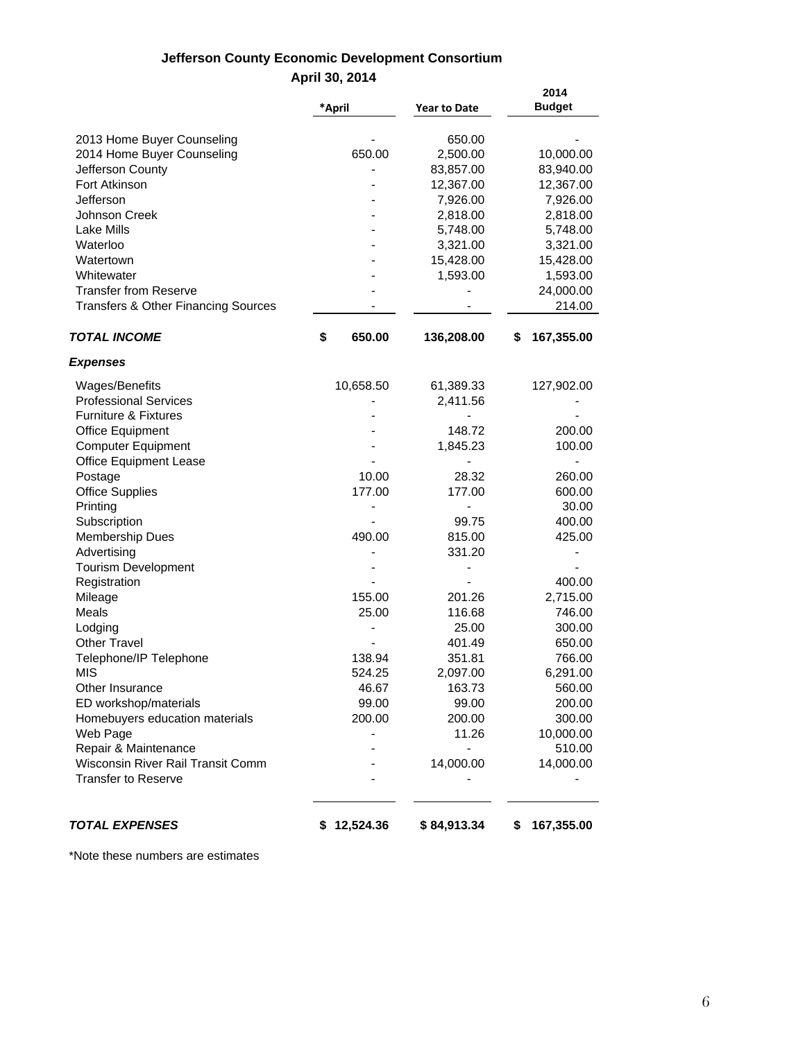# **Jefferson County Economic Development Consortium April 30, 2014**

|                                                                 | *April       | <b>Year to Date</b> | 2014<br><b>Budget</b> |
|-----------------------------------------------------------------|--------------|---------------------|-----------------------|
|                                                                 |              |                     |                       |
| 2013 Home Buyer Counseling                                      |              | 650.00              |                       |
| 2014 Home Buyer Counseling                                      | 650.00       | 2,500.00            | 10,000.00             |
| Jefferson County                                                |              | 83,857.00           | 83,940.00             |
| Fort Atkinson                                                   |              | 12,367.00           | 12,367.00             |
| Jefferson                                                       |              | 7,926.00            | 7,926.00              |
| <b>Johnson Creek</b>                                            |              | 2,818.00            | 2,818.00              |
| <b>Lake Mills</b>                                               |              | 5,748.00            | 5,748.00              |
| Waterloo                                                        |              | 3,321.00            | 3,321.00              |
| Watertown                                                       |              | 15,428.00           | 15,428.00             |
| Whitewater                                                      |              | 1,593.00            | 1,593.00              |
| <b>Transfer from Reserve</b>                                    |              |                     | 24,000.00             |
| <b>Transfers &amp; Other Financing Sources</b>                  |              |                     | 214.00                |
| <b>TOTAL INCOME</b>                                             | \$<br>650.00 | 136,208.00          | 167,355.00<br>\$      |
| <b>Expenses</b>                                                 |              |                     |                       |
| Wages/Benefits                                                  | 10,658.50    | 61,389.33           | 127,902.00            |
| <b>Professional Services</b>                                    |              | 2,411.56            |                       |
| <b>Furniture &amp; Fixtures</b>                                 |              |                     |                       |
| <b>Office Equipment</b>                                         |              | 148.72              | 200.00                |
| <b>Computer Equipment</b>                                       |              | 1,845.23            | 100.00                |
| <b>Office Equipment Lease</b>                                   |              |                     |                       |
| Postage                                                         | 10.00        | 28.32               | 260.00                |
| <b>Office Supplies</b>                                          | 177.00       | 177.00              | 600.00                |
| Printing                                                        |              |                     | 30.00                 |
| Subscription                                                    |              | 99.75               | 400.00                |
| <b>Membership Dues</b>                                          | 490.00       | 815.00              | 425.00                |
| Advertising                                                     |              | 331.20              |                       |
| <b>Tourism Development</b>                                      |              |                     |                       |
| Registration                                                    |              |                     | 400.00                |
| Mileage                                                         | 155.00       | 201.26              | 2,715.00              |
| Meals                                                           | 25.00        | 116.68              | 746.00                |
| Lodging                                                         |              | 25.00               | 300.00                |
| <b>Other Travel</b>                                             |              | 401.49              | 650.00                |
| Telephone/IP Telephone                                          | 138.94       | 351.81              | 766.00                |
| MIS                                                             | 524.25       | 2,097.00            | 6,291.00              |
| Other Insurance                                                 | 46.67        | 163.73              |                       |
| ED workshop/materials                                           | 99.00        | 99.00               | 560.00<br>200.00      |
|                                                                 | 200.00       |                     |                       |
| Homebuyers education materials                                  |              | 200.00              | 300.00                |
| Web Page                                                        |              | 11.26               | 10,000.00             |
| Repair & Maintenance                                            |              |                     | 510.00                |
| Wisconsin River Rail Transit Comm<br><b>Transfer to Reserve</b> |              | 14,000.00           | 14,000.00             |
|                                                                 |              |                     |                       |
| <b>TOTAL EXPENSES</b>                                           | \$12,524.36  | \$84,913.34         | 167,355.00<br>\$      |

\*Note these numbers are estimates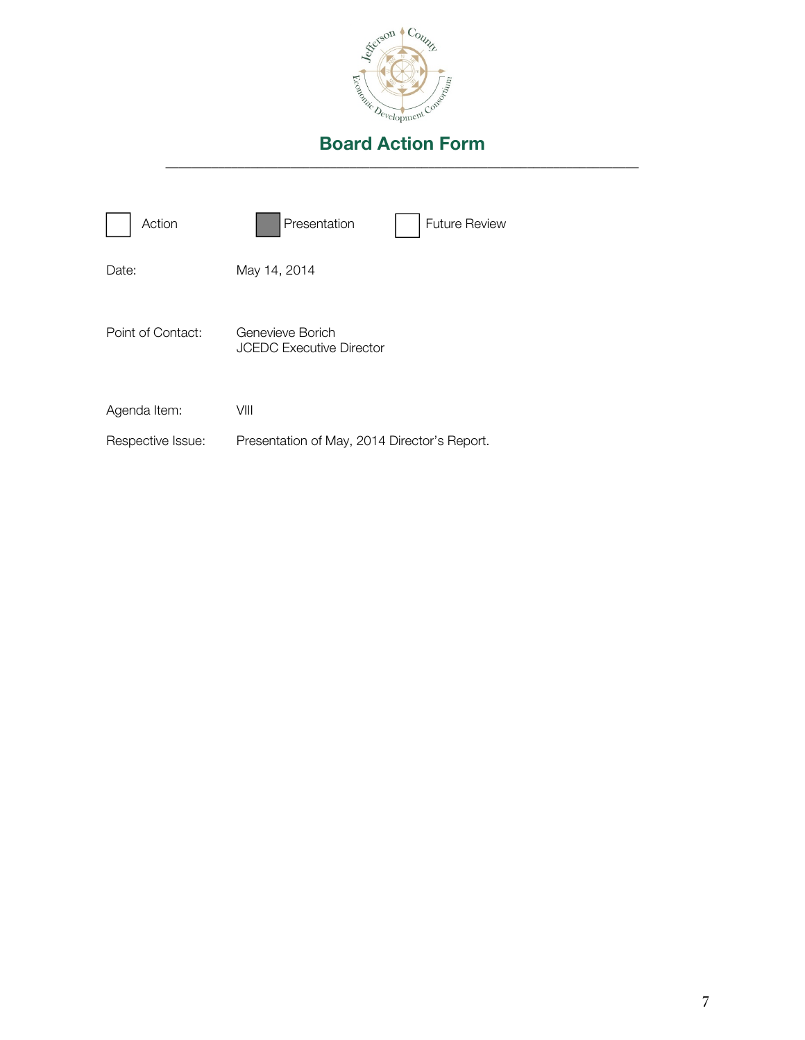

| Action            | Presentation<br><b>Future Review</b>                |
|-------------------|-----------------------------------------------------|
| Date:             | May 14, 2014                                        |
| Point of Contact: | Genevieve Borich<br><b>JCEDC Executive Director</b> |
| Agenda Item:      | VIII                                                |
| Respective Issue: | Presentation of May, 2014 Director's Report.        |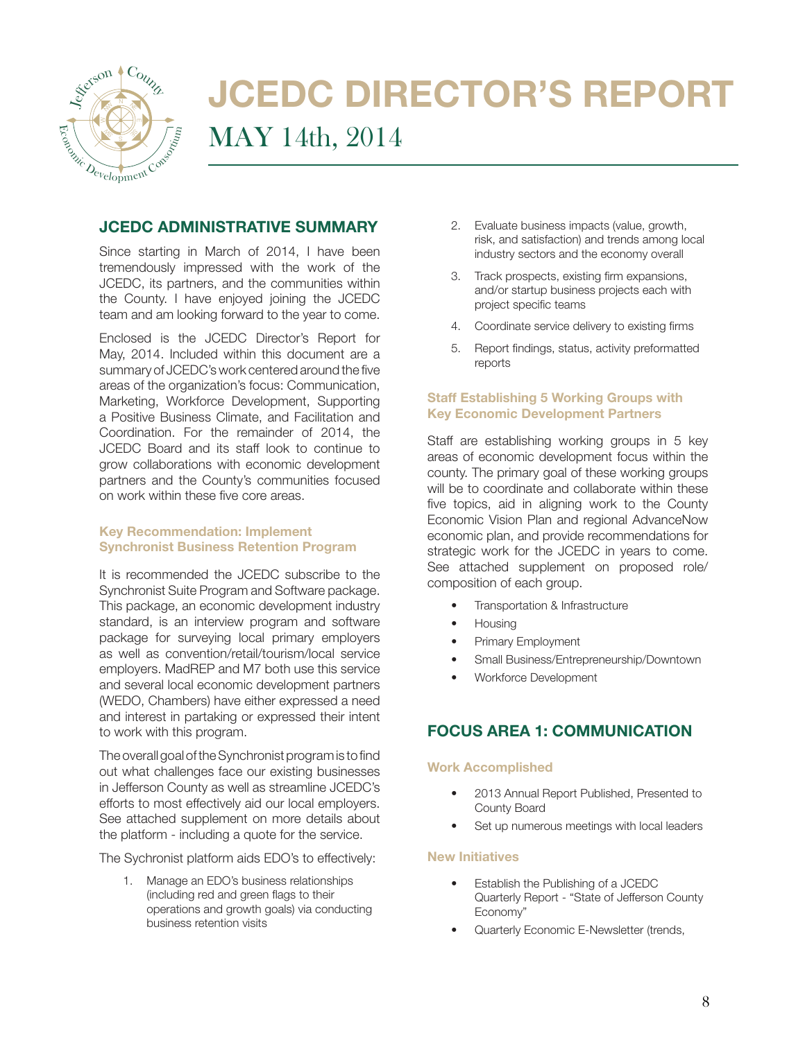

# JCEDC DIRECTOR'S REPORT MAY 14th, 2014

## JCEDC ADMINISTRATIVE SUMMARY

Since starting in March of 2014, I have been tremendously impressed with the work of the JCEDC, its partners, and the communities within the County. I have enjoyed joining the JCEDC team and am looking forward to the year to come.

Enclosed is the JCEDC Director's Report for May, 2014. Included within this document are a summary of JCEDC's work centered around the five areas of the organization's focus: Communication, Marketing, Workforce Development, Supporting a Positive Business Climate, and Facilitation and Coordination. For the remainder of 2014, the JCEDC Board and its staff look to continue to grow collaborations with economic development partners and the County's communities focused on work within these five core areas.

#### Key Recommendation: Implement Synchronist Business Retention Program

It is recommended the JCEDC subscribe to the Synchronist Suite Program and Software package. This package, an economic development industry standard, is an interview program and software package for surveying local primary employers as well as convention/retail/tourism/local service employers. MadREP and M7 both use this service and several local economic development partners (WEDO, Chambers) have either expressed a need and interest in partaking or expressed their intent to work with this program.

The overall goal of the Synchronist program is to find out what challenges face our existing businesses in Jefferson County as well as streamline JCEDC's efforts to most effectively aid our local employers. See attached supplement on more details about the platform - including a quote for the service.

The Sychronist platform aids EDO's to effectively:

1. Manage an EDO's business relationships (including red and green flags to their operations and growth goals) via conducting business retention visits

- 2. Evaluate business impacts (value, growth, risk, and satisfaction) and trends among local industry sectors and the economy overall
- 3. Track prospects, existing firm expansions, and/or startup business projects each with project specific teams
- 4. Coordinate service delivery to existing firms
- 5. Report findings, status, activity preformatted reports

#### Staff Establishing 5 Working Groups with Key Economic Development Partners

Staff are establishing working groups in 5 key areas of economic development focus within the county. The primary goal of these working groups will be to coordinate and collaborate within these five topics, aid in aligning work to the County Economic Vision Plan and regional AdvanceNow economic plan, and provide recommendations for strategic work for the JCEDC in years to come. See attached supplement on proposed role/ composition of each group.

- Transportation & Infrastructure
- Housing
- Primary Employment
- Small Business/Entrepreneurship/Downtown
- Workforce Development

# FOCUS AREA 1: COMMUNICATION

#### Work Accomplished

- 2013 Annual Report Published, Presented to County Board
- Set up numerous meetings with local leaders

#### New Initiatives

- Establish the Publishing of a JCEDC Quarterly Report - "State of Jefferson County Economy"
- Quarterly Economic E-Newsletter (trends,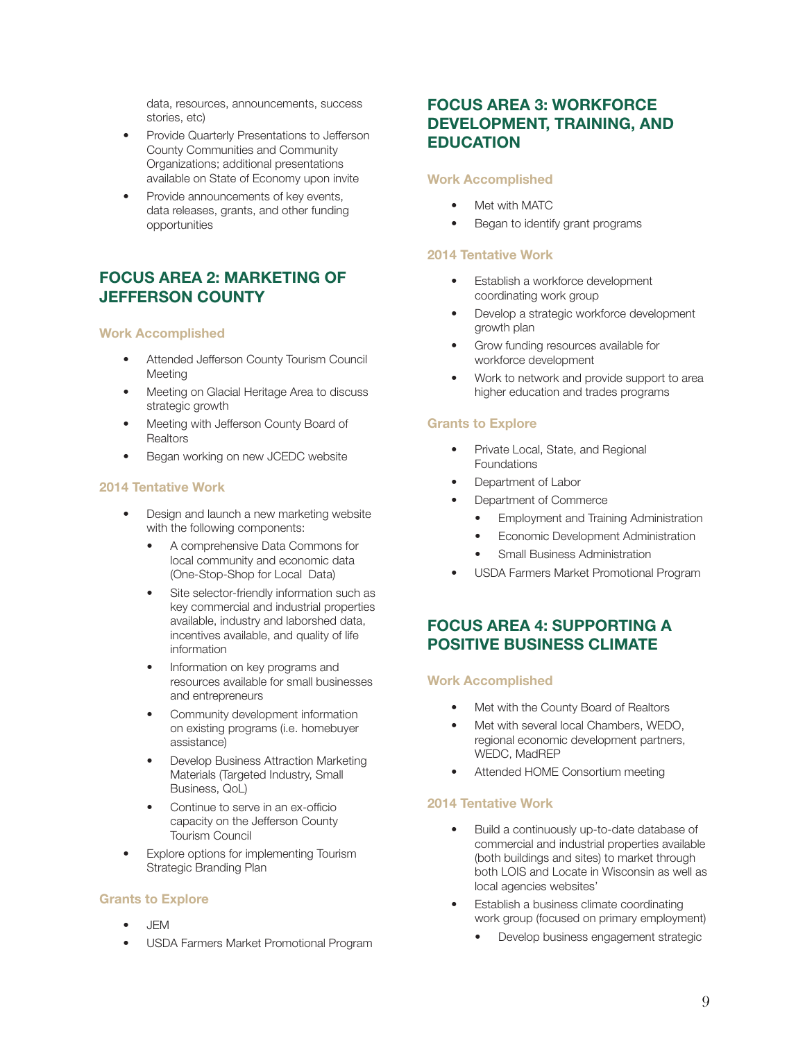data, resources, announcements, success stories, etc)

- Provide Quarterly Presentations to Jefferson County Communities and Community Organizations; additional presentations available on State of Economy upon invite
- Provide announcements of key events, data releases, grants, and other funding opportunities

# FOCUS AREA 2: MARKETING OF JEFFERSON COUNTY

#### Work Accomplished

- Attended Jefferson County Tourism Council Meeting
- Meeting on Glacial Heritage Area to discuss strategic growth
- Meeting with Jefferson County Board of **Realtors**
- Began working on new JCEDC website

#### 2014 Tentative Work

- Design and launch a new marketing website with the following components:
	- A comprehensive Data Commons for local community and economic data (One-Stop-Shop for Local Data)
	- Site selector-friendly information such as key commercial and industrial properties available, industry and laborshed data, incentives available, and quality of life information
	- Information on key programs and resources available for small businesses and entrepreneurs
	- Community development information on existing programs (i.e. homebuyer assistance)
	- Develop Business Attraction Marketing Materials (Targeted Industry, Small Business, QoL)
	- Continue to serve in an ex-officio capacity on the Jefferson County Tourism Council
- Explore options for implementing Tourism Strategic Branding Plan

#### Grants to Explore

- JEM
- USDA Farmers Market Promotional Program

# FOCUS AREA 3: WORKFORCE DEVELOPMENT, TRAINING, AND EDUCATION

#### Work Accomplished

- Met with MATC
- Began to identify grant programs

#### 2014 Tentative Work

- Establish a workforce development coordinating work group
- Develop a strategic workforce development growth plan
- Grow funding resources available for workforce development
- Work to network and provide support to area higher education and trades programs

#### Grants to Explore

- Private Local, State, and Regional Foundations
- Department of Labor
- Department of Commerce
	- Employment and Training Administration
	- Economic Development Administration
	- **Small Business Administration**
- USDA Farmers Market Promotional Program

## FOCUS AREA 4: SUPPORTING A POSITIVE BUSINESS CLIMATE

#### Work Accomplished

- Met with the County Board of Realtors
- Met with several local Chambers, WEDO, regional economic development partners, WEDC, MadREP
- Attended HOME Consortium meeting

#### 2014 Tentative Work

- Build a continuously up-to-date database of commercial and industrial properties available (both buildings and sites) to market through both LOIS and Locate in Wisconsin as well as local agencies websites'
- Establish a business climate coordinating work group (focused on primary employment)
	- Develop business engagement strategic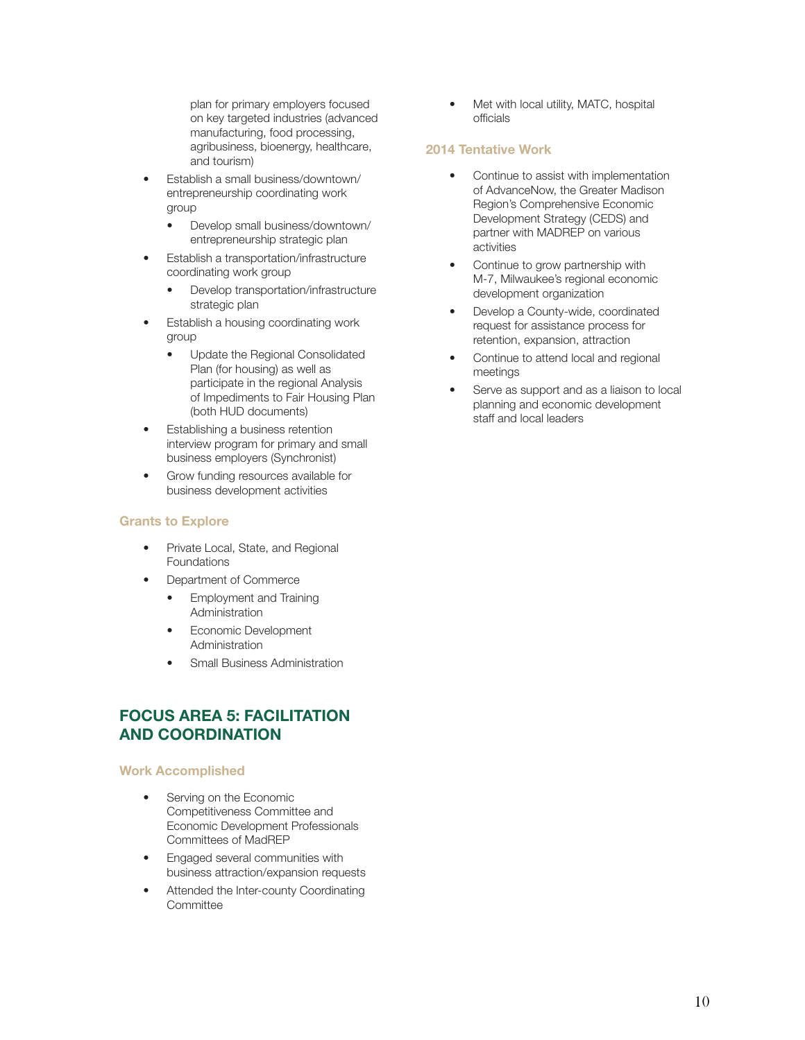plan for primary employers focused on key targeted industries (advanced manufacturing, food processing, agribusiness, bioenergy, healthcare, and tourism)

- Establish a small business/downtown/ entrepreneurship coordinating work group
	- Develop small business/downtown/ entrepreneurship strategic plan
- Establish a transportation/infrastructure coordinating work group
	- Develop transportation/infrastructure strategic plan
- Establish a housing coordinating work group
	- Update the Regional Consolidated Plan (for housing) as well as participate in the regional Analysis of Impediments to Fair Housing Plan (both HUD documents)
- Establishing a business retention interview program for primary and small business employers (Synchronist)
- Grow funding resources available for business development activities

#### Grants to Explore

- Private Local, State, and Regional Foundations
- Department of Commerce
	- Employment and Training **Administration**
	- Economic Development Administration
	- Small Business Administration

# FOCUS AREA 5: FACILITATION AND COORDINATION

#### Work Accomplished

- Serving on the Economic Competitiveness Committee and Economic Development Professionals Committees of MadREP
- Engaged several communities with business attraction/expansion requests
- Attended the Inter-county Coordinating Committee

Met with local utility, MATC, hospital officials

#### 2014 Tentative Work

- Continue to assist with implementation of AdvanceNow, the Greater Madison Region's Comprehensive Economic Development Strategy (CEDS) and partner with MADREP on various activities
- Continue to grow partnership with M-7, Milwaukee's regional economic development organization
- Develop a County-wide, coordinated request for assistance process for retention, expansion, attraction
- Continue to attend local and regional meetings
- Serve as support and as a liaison to local planning and economic development staff and local leaders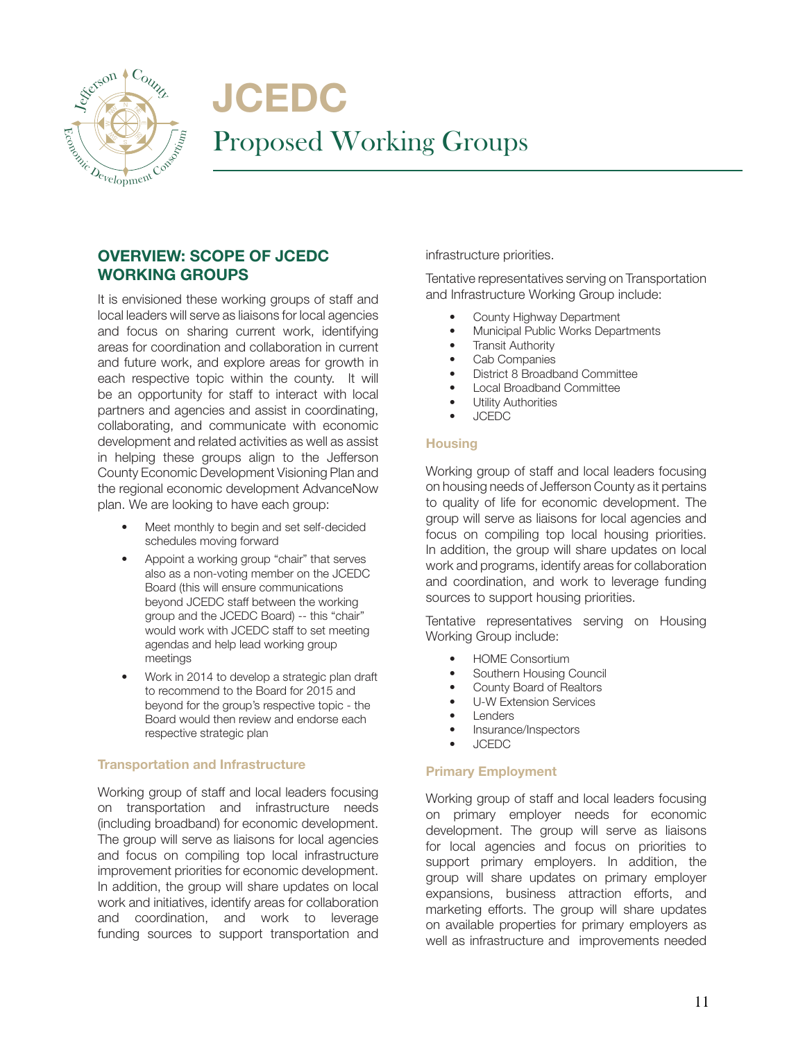

**JCEDC** Proposed Working Groups

# OVERVIEW: SCOPE OF JCEDC WORKING GROUPS

It is envisioned these working groups of staff and local leaders will serve as liaisons for local agencies and focus on sharing current work, identifying areas for coordination and collaboration in current and future work, and explore areas for growth in each respective topic within the county. It will be an opportunity for staff to interact with local partners and agencies and assist in coordinating, collaborating, and communicate with economic development and related activities as well as assist in helping these groups align to the Jefferson County Economic Development Visioning Plan and the regional economic development AdvanceNow plan. We are looking to have each group:

- Meet monthly to begin and set self-decided schedules moving forward
- Appoint a working group "chair" that serves also as a non-voting member on the JCEDC Board (this will ensure communications beyond JCEDC staff between the working group and the JCEDC Board) -- this "chair" would work with JCEDC staff to set meeting agendas and help lead working group meetings
- Work in 2014 to develop a strategic plan draft to recommend to the Board for 2015 and beyond for the group's respective topic - the Board would then review and endorse each respective strategic plan

#### Transportation and Infrastructure

Working group of staff and local leaders focusing on transportation and infrastructure needs (including broadband) for economic development. The group will serve as liaisons for local agencies and focus on compiling top local infrastructure improvement priorities for economic development. In addition, the group will share updates on local work and initiatives, identify areas for collaboration and coordination, and work to leverage funding sources to support transportation and

infrastructure priorities.

Tentative representatives serving on Transportation and Infrastructure Working Group include:

- County Highway Department
- Municipal Public Works Departments
- **Transit Authority**
- Cab Companies
- District 8 Broadband Committee
- Local Broadband Committee
- **Utility Authorities**
- JCEDC

#### **Housing**

Working group of staff and local leaders focusing on housing needs of Jefferson County as it pertains to quality of life for economic development. The group will serve as liaisons for local agencies and focus on compiling top local housing priorities. In addition, the group will share updates on local work and programs, identify areas for collaboration and coordination, and work to leverage funding sources to support housing priorities.

Tentative representatives serving on Housing Working Group include:

- HOME Consortium
- Southern Housing Council
- County Board of Realtors
- U-W Extension Services
- **Lenders**
- Insurance/Inspectors
- JCEDC

#### Primary Employment

Working group of staff and local leaders focusing on primary employer needs for economic development. The group will serve as liaisons for local agencies and focus on priorities to support primary employers. In addition, the group will share updates on primary employer expansions, business attraction efforts, and marketing efforts. The group will share updates on available properties for primary employers as well as infrastructure and improvements needed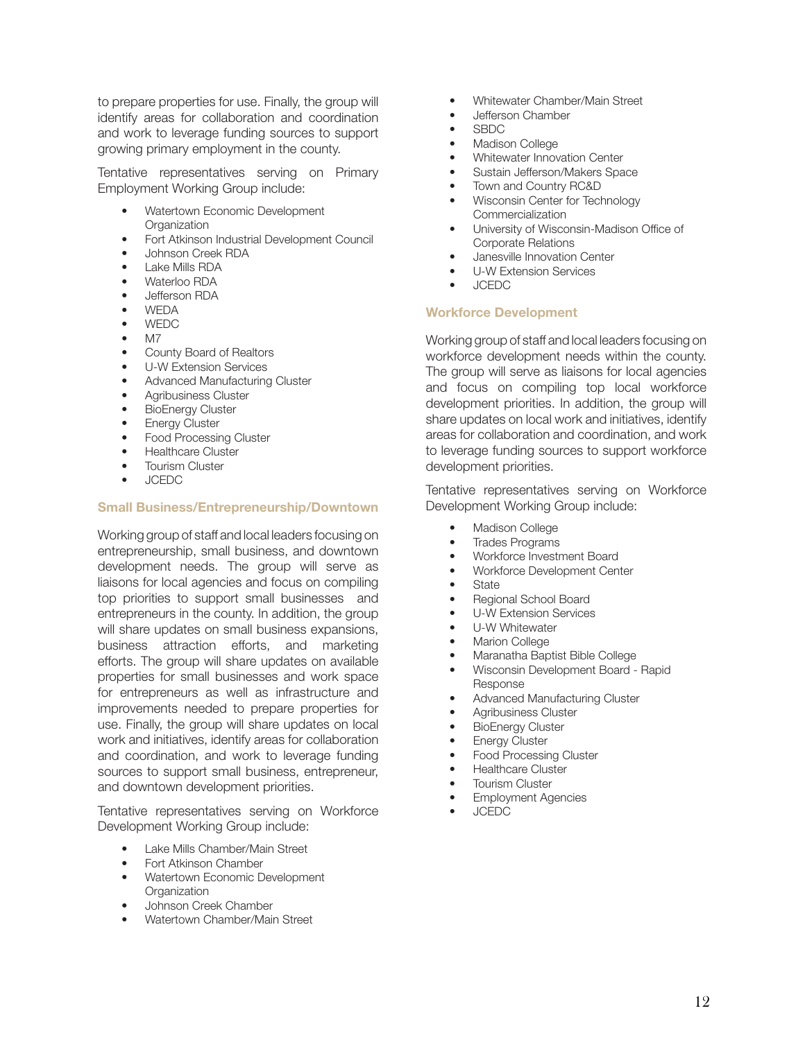to prepare properties for use. Finally, the group will identify areas for collaboration and coordination and work to leverage funding sources to support growing primary employment in the county.

Tentative representatives serving on Primary Employment Working Group include:

- Watertown Economic Development **Organization**
- Fort Atkinson Industrial Development Council
- Johnson Creek RDA
- Lake Mills RDA
- Waterloo RDA
- Jefferson RDA
- WEDA
- WEDC
- M7
- County Board of Realtors
- U-W Extension Services
- Advanced Manufacturing Cluster
- Agribusiness Cluster
- **BioEnergy Cluster**
- Energy Cluster
- Food Processing Cluster
- Healthcare Cluster
- Tourism Cluster
- JCEDC

#### Small Business/Entrepreneurship/Downtown

Working group of staff and local leaders focusing on entrepreneurship, small business, and downtown development needs. The group will serve as liaisons for local agencies and focus on compiling top priorities to support small businesses and entrepreneurs in the county. In addition, the group will share updates on small business expansions, business attraction efforts, and marketing efforts. The group will share updates on available properties for small businesses and work space for entrepreneurs as well as infrastructure and improvements needed to prepare properties for use. Finally, the group will share updates on local work and initiatives, identify areas for collaboration and coordination, and work to leverage funding sources to support small business, entrepreneur, and downtown development priorities.

Tentative representatives serving on Workforce Development Working Group include:

- Lake Mills Chamber/Main Street
- Fort Atkinson Chamber
- Watertown Economic Development **Organization**
- Johnson Creek Chamber
- Watertown Chamber/Main Street
- Whitewater Chamber/Main Street
- Jefferson Chamber
- SBDC
- Madison College
- Whitewater Innovation Center
- Sustain Jefferson/Makers Space
- Town and Country RC&D
- Wisconsin Center for Technology Commercialization
- University of Wisconsin-Madison Office of Corporate Relations
- Janesville Innovation Center
- U-W Extension Services
- JCEDC

#### Workforce Development

Working group of staff and local leaders focusing on workforce development needs within the county. The group will serve as liaisons for local agencies and focus on compiling top local workforce development priorities. In addition, the group will share updates on local work and initiatives, identify areas for collaboration and coordination, and work to leverage funding sources to support workforce development priorities.

Tentative representatives serving on Workforce Development Working Group include:

- Madison College
- **Trades Programs**
- Workforce Investment Board
- Workforce Development Center
- State
- Regional School Board
- U-W Extension Services
- U-W Whitewater
- **Marion College**
- Maranatha Baptist Bible College
- Wisconsin Development Board Rapid Response
- Advanced Manufacturing Cluster
- Agribusiness Cluster
- BioEnergy Cluster
- Energy Cluster
- Food Processing Cluster
- Healthcare Cluster
- **Tourism Cluster**
- **Employment Agencies**
- JCEDC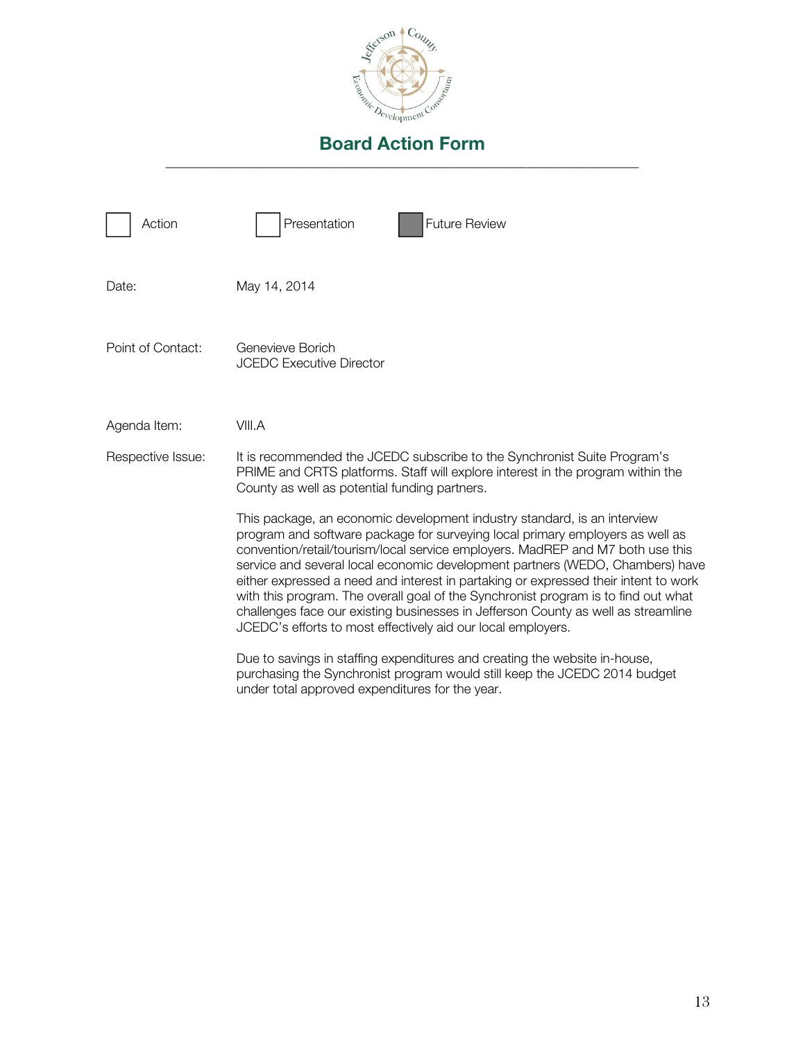

| Action            | Presentation<br><b>Future Review</b>                                                                                                                                                                                                                                                                                                                                                                                                                                                                                                                                                                                                                           |
|-------------------|----------------------------------------------------------------------------------------------------------------------------------------------------------------------------------------------------------------------------------------------------------------------------------------------------------------------------------------------------------------------------------------------------------------------------------------------------------------------------------------------------------------------------------------------------------------------------------------------------------------------------------------------------------------|
| Date:             | May 14, 2014                                                                                                                                                                                                                                                                                                                                                                                                                                                                                                                                                                                                                                                   |
| Point of Contact: | Genevieve Borich<br><b>JCEDC Executive Director</b>                                                                                                                                                                                                                                                                                                                                                                                                                                                                                                                                                                                                            |
| Agenda Item:      | VIII.A                                                                                                                                                                                                                                                                                                                                                                                                                                                                                                                                                                                                                                                         |
| Respective Issue: | It is recommended the JCEDC subscribe to the Synchronist Suite Program's<br>PRIME and CRTS platforms. Staff will explore interest in the program within the<br>County as well as potential funding partners.                                                                                                                                                                                                                                                                                                                                                                                                                                                   |
|                   | This package, an economic development industry standard, is an interview<br>program and software package for surveying local primary employers as well as<br>convention/retail/tourism/local service employers. MadREP and M7 both use this<br>service and several local economic development partners (WEDO, Chambers) have<br>either expressed a need and interest in partaking or expressed their intent to work<br>with this program. The overall goal of the Synchronist program is to find out what<br>challenges face our existing businesses in Jefferson County as well as streamline<br>JCEDC's efforts to most effectively aid our local employers. |
|                   | Due to savings in staffing expenditures and creating the website in-house,<br>purchasing the Synchronist program would still keep the JCEDC 2014 budget<br>under total approved expenditures for the year.                                                                                                                                                                                                                                                                                                                                                                                                                                                     |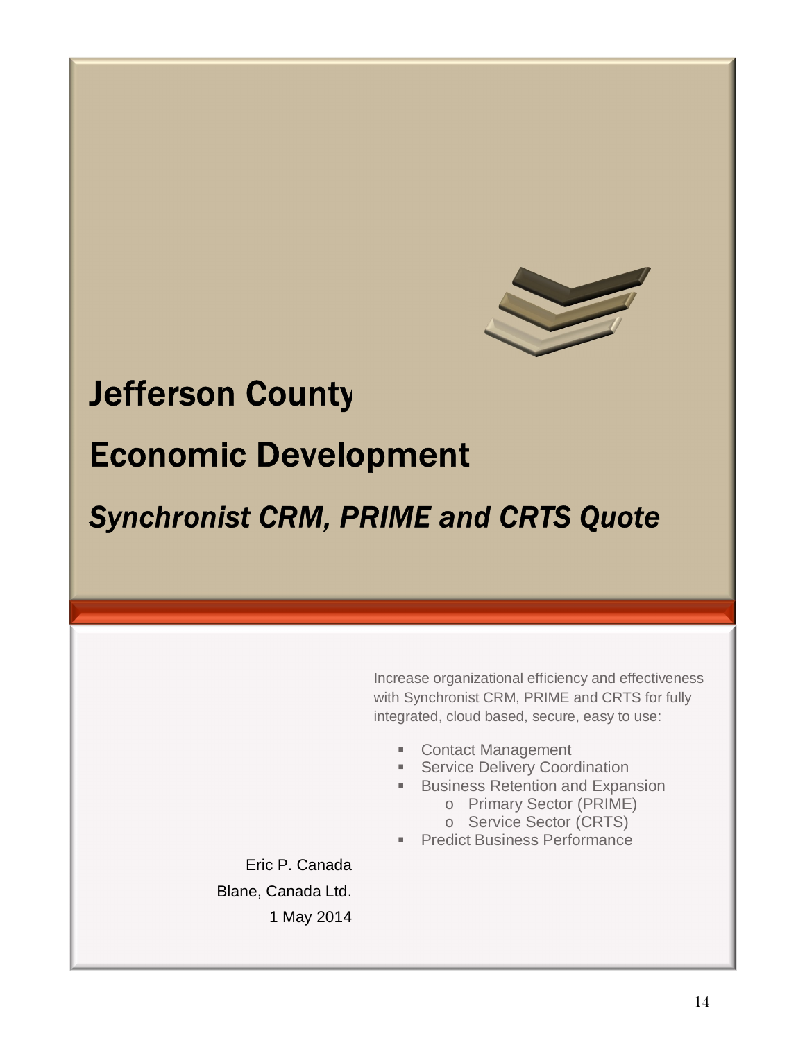

# **Jefferson County Economic Development**

**Synchronist CRM, PRIME and CRTS Quote** 

Increase organizational efficiency and effectiveness with Synchronist CRM, PRIME and CRTS for fully integrated, cloud based, secure, easy to use:

- Contact Management
- **EXECUTE: Service Delivery Coordination**
- **Business Retention and Expansion** 
	- o Primary Sector (PRIME)
	- o Service Sector (CRTS)
- **Predict Business Performance**

Eric P. Canada Blane, Canada Ltd. 1 May 2014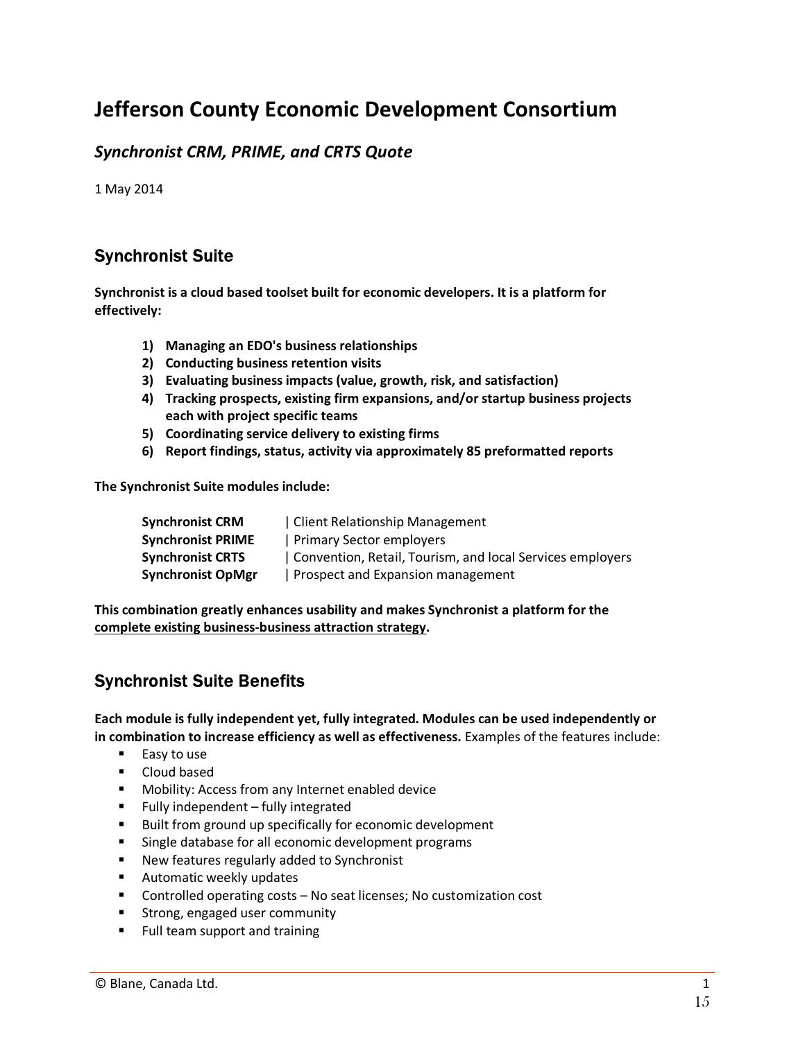# Jefferson County Economic Development Consortium

# *Synchronist CRM, PRIME, and CRTS Quote*

1 May 2014

# **Synchronist Suite**

Synchronist is a cloud based toolset built for economic developers. It is a platform for effectively:

- 1) Managing an EDO's business relationships
- 2) Conducting business retention visits
- 3) Evaluating business impacts (value, growth, risk, and satisfaction)
- 4) Tracking prospects, existing firm expansions, and/or startup business projects each with project specific teams
- 5) Coordinating service delivery to existing firms
- 6) Report findings, status, activity via approximately 85 preformatted reports

The Synchronist Suite modules include:

| <b>Synchronist CRM</b>   | Client Relationship Management                            |
|--------------------------|-----------------------------------------------------------|
| <b>Synchronist PRIME</b> | Primary Sector employers                                  |
| <b>Synchronist CRTS</b>  | Convention, Retail, Tourism, and local Services employers |
| <b>Synchronist OpMgr</b> | Prospect and Expansion management                         |

This combination greatly enhances usability and makes Synchronist a platform for the complete existing business-business attraction strategy.

# **Synchronist Suite Benefits**

Each module is fully independent yet, fully integrated. Modules can be used independently or in combination to increase efficiency as well as effectiveness. Examples of the features include:

- Easy to use
- **•** Cloud based
- **Mobility: Access from any Internet enabled device**
- $\blacksquare$  Fully independent fully integrated
- Built from ground up specifically for economic development
- **EXECT:** Single database for all economic development programs
- **New features regularly added to Synchronist**
- **EXECUTE:** Automatic weekly updates
- Controlled operating costs No seat licenses; No customization cost
- **EXTERG**, engaged user community
- **FILL TEADER IS CONTENT** Full team support and training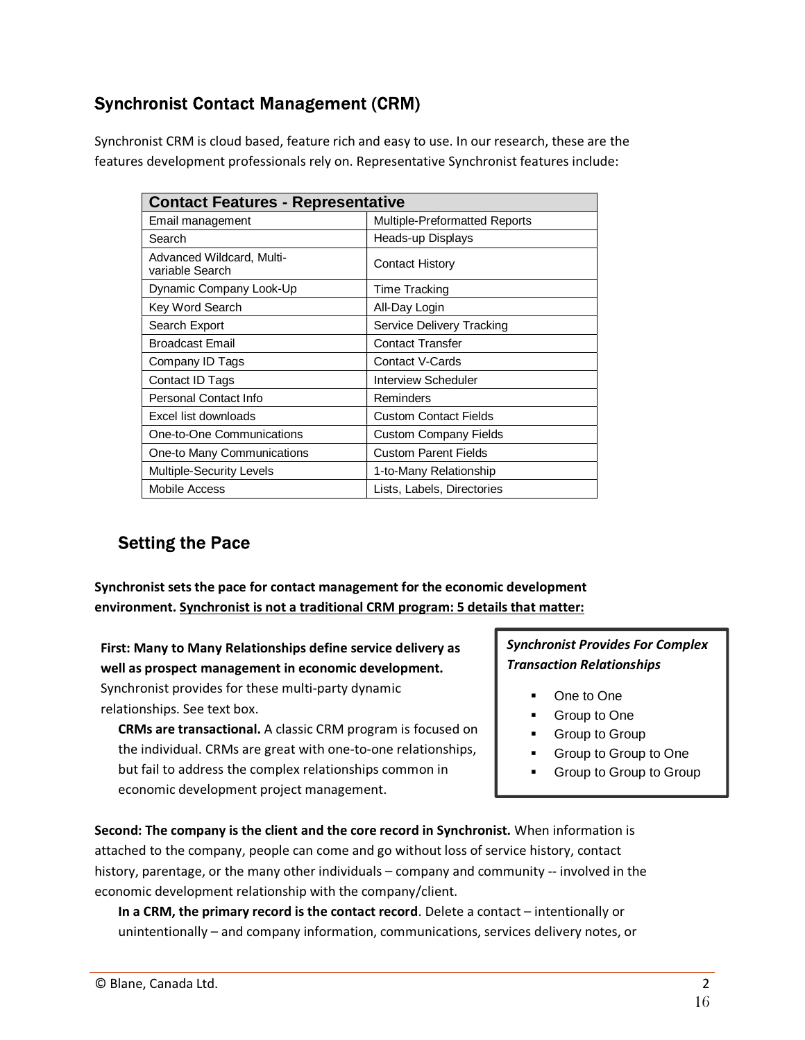# **Synchronist Contact Management (CRM)**

Synchronist CRM is cloud based, feature rich and easy to use. In our research, these are the features development professionals rely on. Representative Synchronist features include:

| <b>Contact Features - Representative</b>     |                               |  |
|----------------------------------------------|-------------------------------|--|
| Email management                             | Multiple-Preformatted Reports |  |
| Search                                       | Heads-up Displays             |  |
| Advanced Wildcard, Multi-<br>variable Search | <b>Contact History</b>        |  |
| Dynamic Company Look-Up                      | <b>Time Tracking</b>          |  |
| Key Word Search                              | All-Day Login                 |  |
| Search Export                                | Service Delivery Tracking     |  |
| <b>Broadcast Email</b>                       | <b>Contact Transfer</b>       |  |
| Company ID Tags                              | Contact V-Cards               |  |
| Contact ID Tags                              | Interview Scheduler           |  |
| Personal Contact Info                        | Reminders                     |  |
| Excel list downloads                         | <b>Custom Contact Fields</b>  |  |
| One-to-One Communications                    | <b>Custom Company Fields</b>  |  |
| One-to Many Communications                   | <b>Custom Parent Fields</b>   |  |
| Multiple-Security Levels                     | 1-to-Many Relationship        |  |
| Mobile Access                                | Lists, Labels, Directories    |  |

# **Setting the Pace**

**Synchronist sets the pace for contact management for the economic development environment. Synchronist is not a traditional CRM program: 5 details that matter:** 

**First: Many to Many Relationships define service delivery as well as prospect management in economic development.**  Synchronist provides for these multi-party dynamic relationships. See text box.

**CRMs are transactional.** A classic CRM program is focused on the individual. CRMs are great with one-to-one relationships, but fail to address the complex relationships common in economic development project management.

*Synchronist Provides For Complex Transaction Relationships* 

- One to One
- **Group to One**
- Group to Group
- Group to Group to One
- **Group to Group to Group**

**Second: The company is the client and the core record in Synchronist.** When information is attached to the company, people can come and go without loss of service history, contact history, parentage, or the many other individuals – company and community -- involved in the economic development relationship with the company/client.

**In a CRM, the primary record is the contact record**. Delete a contact – intentionally or unintentionally – and company information, communications, services delivery notes, or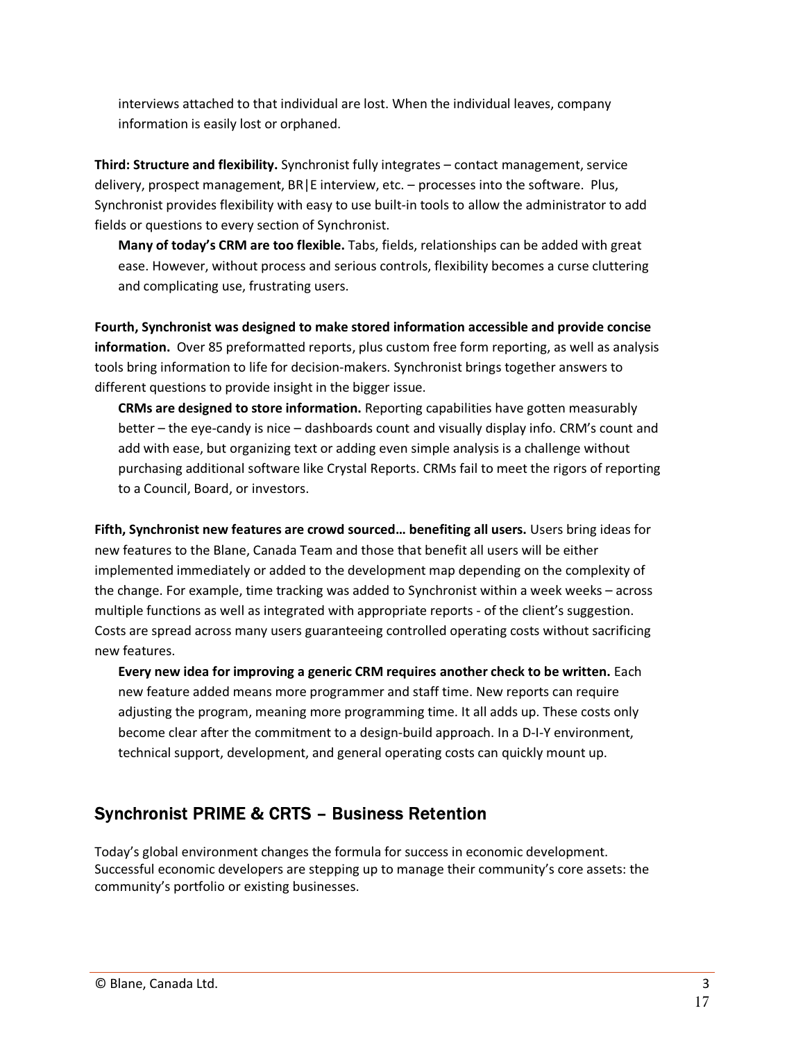interviews attached to that individual are lost. When the individual leaves, company information is easily lost or orphaned.

**Third: Structure and flexibility.** Synchronist fully integrates – contact management, service delivery, prospect management, BR|E interview, etc. – processes into the software. Plus, Synchronist provides flexibility with easy to use built-in tools to allow the administrator to add fields or questions to every section of Synchronist.

**Many of today's CRM are too flexible.** Tabs, fields, relationships can be added with great ease. However, without process and serious controls, flexibility becomes a curse cluttering and complicating use, frustrating users.

**Fourth, Synchronist was designed to make stored information accessible and provide concise information.** Over 85 preformatted reports, plus custom free form reporting, as well as analysis tools bring information to life for decision-makers. Synchronist brings together answers to different questions to provide insight in the bigger issue.

**CRMs are designed to store information.** Reporting capabilities have gotten measurably better – the eye-candy is nice – dashboards count and visually display info. CRM's count and add with ease, but organizing text or adding even simple analysis is a challenge without purchasing additional software like Crystal Reports. CRMs fail to meet the rigors of reporting to a Council, Board, or investors.

**Fifth, Synchronist new features are crowd sourced… benefiting all users.** Users bring ideas for new features to the Blane, Canada Team and those that benefit all users will be either implemented immediately or added to the development map depending on the complexity of the change. For example, time tracking was added to Synchronist within a week weeks – across multiple functions as well as integrated with appropriate reports - of the client's suggestion. Costs are spread across many users guaranteeing controlled operating costs without sacrificing new features.

**Every new idea for improving a generic CRM requires another check to be written.** Each new feature added means more programmer and staff time. New reports can require adjusting the program, meaning more programming time. It all adds up. These costs only become clear after the commitment to a design-build approach. In a D-I-Y environment, technical support, development, and general operating costs can quickly mount up.

# **Synchronist PRIME & CRTS - Business Retention**

Today's global environment changes the formula for success in economic development. Successful economic developers are stepping up to manage their community's core assets: the community's portfolio or existing businesses.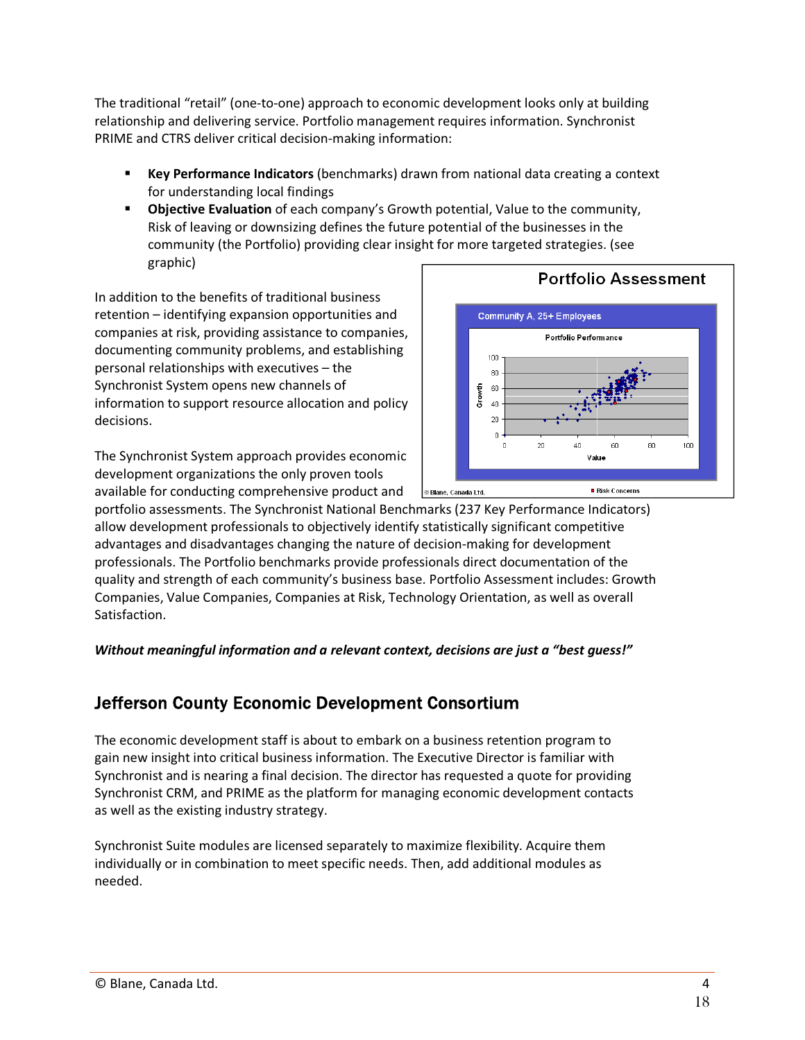The traditional "retail" (one-to-one) approach to economic development looks only at building relationship and delivering service. Portfolio management requires information. Synchronist PRIME and CTRS deliver critical decision-making information:

- � **Key Performance Indicators** (benchmarks) drawn from national data creating a context for understanding local findings
- � **Objective Evaluation** of each company's Growth potential, Value to the community, Risk of leaving or downsizing defines the future potential of the businesses in the community (the Portfolio) providing clear insight for more targeted strategies. (see graphic)

In addition to the benefits of traditional business retention – identifying expansion opportunities and companies at risk, providing assistance to companies, documenting community problems, and establishing personal relationships with executives – the Synchronist System opens new channels of information to support resource allocation and policy decisions.

The Synchronist System approach provides economic development organizations the only proven tools available for conducting comprehensive product and



portfolio assessments. The Synchronist National Benchmarks (237 Key Performance Indicators) allow development professionals to objectively identify statistically significant competitive advantages and disadvantages changing the nature of decision-making for development professionals. The Portfolio benchmarks provide professionals direct documentation of the quality and strength of each community's business base. Portfolio Assessment includes: Growth Companies, Value Companies, Companies at Risk, Technology Orientation, as well as overall Satisfaction.

*Without meaningful information and a relevant context, decisions are just a "best guess!"* 

# **Jefferson County Economic Development Consortium**

The economic development staff is about to embark on a business retention program to gain new insight into critical business information. The Executive Director is familiar with Synchronist and is nearing a final decision. The director has requested a quote for providing Synchronist CRM, and PRIME as the platform for managing economic development contacts as well as the existing industry strategy.

Synchronist Suite modules are licensed separately to maximize flexibility. Acquire them individually or in combination to meet specific needs. Then, add additional modules as needed.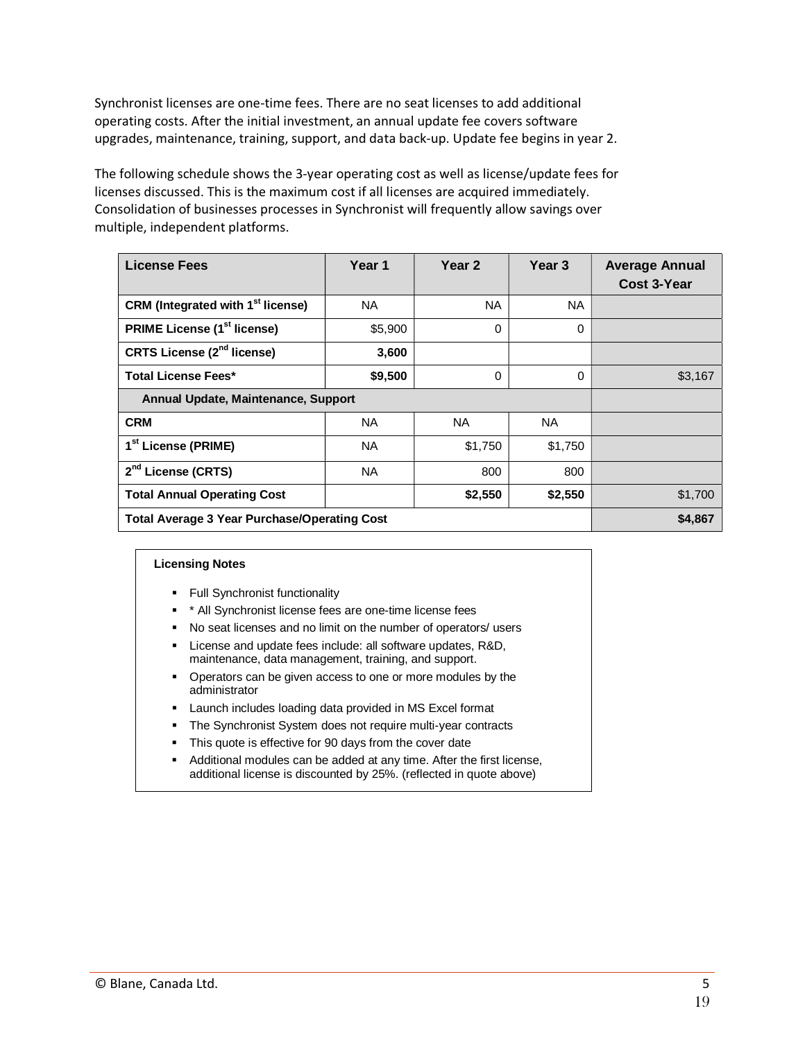Synchronist licenses are one-time fees. There are no seat licenses to add additional operating costs. After the initial investment, an annual update fee covers software upgrades, maintenance, training, support, and data back-up. Update fee begins in year 2.

The following schedule shows the 3-year operating cost as well as license/update fees for licenses discussed. This is the maximum cost if all licenses are acquired immediately. Consolidation of businesses processes in Synchronist will frequently allow savings over multiple, independent platforms.

| <b>License Fees</b>                                 | Year 1    | Year 2   | Year <sub>3</sub> | <b>Average Annual</b><br><b>Cost 3-Year</b> |
|-----------------------------------------------------|-----------|----------|-------------------|---------------------------------------------|
| CRM (Integrated with 1 <sup>st</sup> license)       | NA.       | NA.      | NA.               |                                             |
| <b>PRIME License (1st license)</b>                  | \$5,900   | $\Omega$ | 0                 |                                             |
| <b>CRTS License (2<sup>nd</sup> license)</b>        | 3,600     |          |                   |                                             |
| <b>Total License Fees*</b>                          | \$9,500   | $\Omega$ | 0                 | \$3,167                                     |
| Annual Update, Maintenance, Support                 |           |          |                   |                                             |
| <b>CRM</b>                                          | NA.       | NA.      | NA.               |                                             |
| 1 <sup>st</sup> License (PRIME)                     | <b>NA</b> | \$1,750  | \$1,750           |                                             |
| 2 <sup>nd</sup> License (CRTS)                      | <b>NA</b> | 800      | 800               |                                             |
| <b>Total Annual Operating Cost</b>                  |           | \$2,550  | \$2,550           | \$1,700                                     |
| <b>Total Average 3 Year Purchase/Operating Cost</b> |           |          | \$4,867           |                                             |

#### **Licensing Notes**

- **•** Full Synchronist functionality
- \* \* All Synchronist license fees are one-time license fees
- � No seat licenses and no limit on the number of operators/ users
- � License and update fees include: all software updates, R&D, maintenance, data management, training, and support.
- � Operators can be given access to one or more modules by the administrator
- � Launch includes loading data provided in MS Excel format
- The Synchronist System does not require multi-year contracts
- $\blacksquare$  This quote is effective for 90 days from the cover date
- Additional modules can be added at any time. After the first license, additional license is discounted by 25%. (reflected in quote above)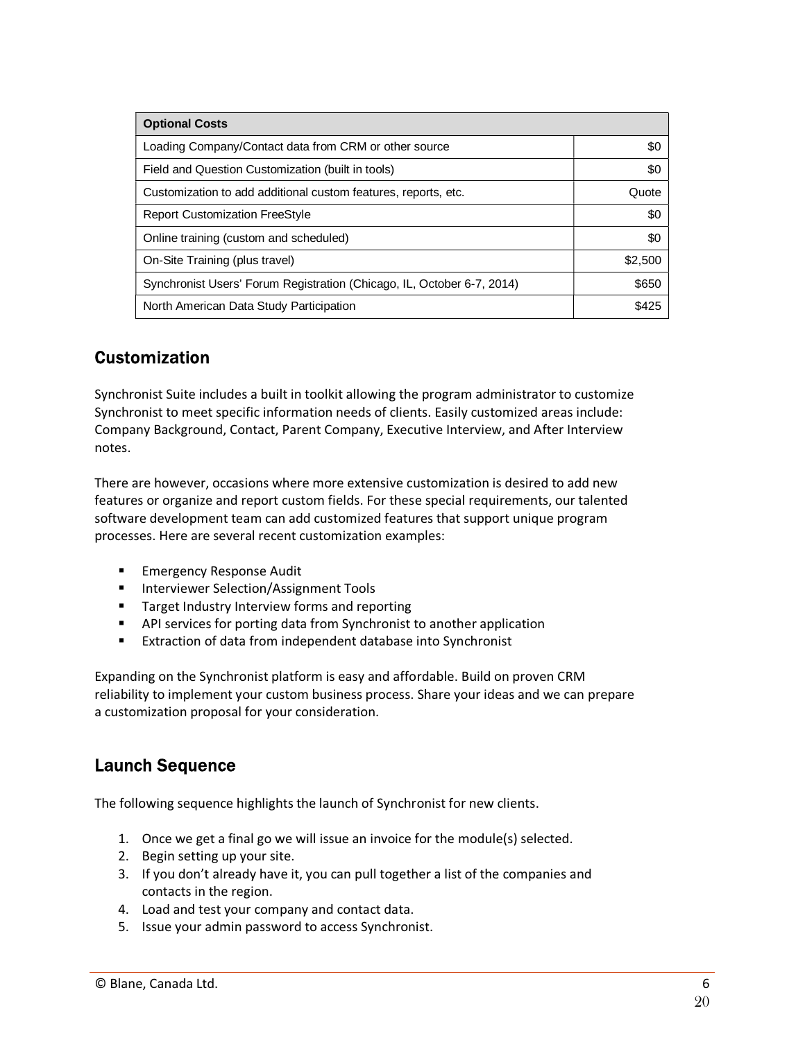| <b>Optional Costs</b>                                                  |         |
|------------------------------------------------------------------------|---------|
| Loading Company/Contact data from CRM or other source                  | \$0     |
| Field and Question Customization (built in tools)                      | \$0     |
| Customization to add additional custom features, reports, etc.         | Quote   |
| <b>Report Customization FreeStyle</b>                                  | \$0     |
| Online training (custom and scheduled)                                 | \$0     |
| On-Site Training (plus travel)                                         | \$2,500 |
| Synchronist Users' Forum Registration (Chicago, IL, October 6-7, 2014) | \$650   |
| North American Data Study Participation                                | \$425   |

# **Customization**

Synchronist Suite includes a built in toolkit allowing the program administrator to customize Synchronist to meet specific information needs of clients. Easily customized areas include: Company Background, Contact, Parent Company, Executive Interview, and After Interview notes.

There are however, occasions where more extensive customization is desired to add new features or organize and report custom fields. For these special requirements, our talented software development team can add customized features that support unique program processes. Here are several recent customization examples:

- Emergency Response Audit
- Interviewer Selection/Assignment Tools
- **Target Industry Interview forms and reporting**
- **•** API services for porting data from Synchronist to another application
- **Extraction of data from independent database into Synchronist**

Expanding on the Synchronist platform is easy and affordable. Build on proven CRM reliability to implement your custom business process. Share your ideas and we can prepare a customization proposal for your consideration.

# **Launch Sequence**

The following sequence highlights the launch of Synchronist for new clients.

- 1. Once we get a final go we will issue an invoice for the module(s) selected.
- 2. Begin setting up your site.
- 3. If you don't already have it, you can pull together a list of the companies and contacts in the region.
- 4. Load and test your company and contact data.
- 5. Issue your admin password to access Synchronist.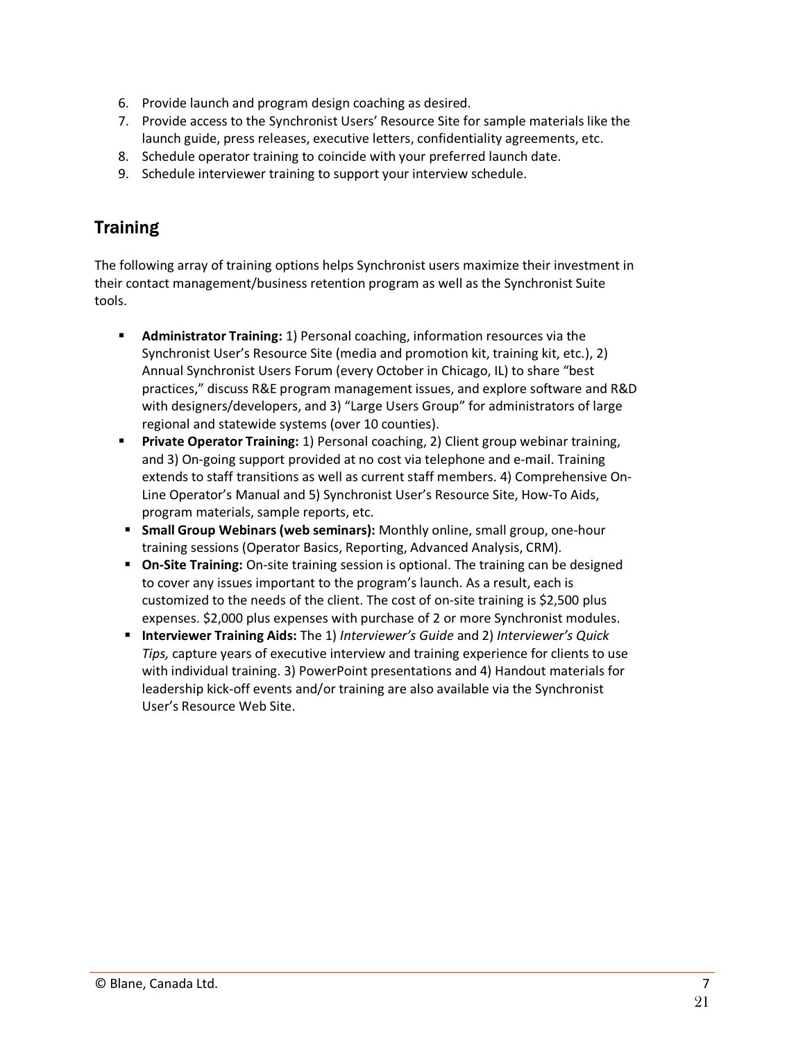- 6. Provide launch and program design coaching as desired.
- 7. Provide access to the Synchronist Users' Resource Site for sample materials like the launch guide, press releases, executive letters, confidentiality agreements, etc.
- 8. Schedule operator training to coincide with your preferred launch date.
- 9. Schedule interviewer training to support your interview schedule.

# **Training**

The following array of training options helps Synchronist users maximize their investment in their contact management/business retention program as well as the Synchronist Suite tools.

- � **Administrator Training:** 1) Personal coaching, information resources via the Synchronist User's Resource Site (media and promotion kit, training kit, etc.), 2) Annual Synchronist Users Forum (every October in Chicago, IL) to share "best practices," discuss R&E program management issues, and explore software and R&D with designers/developers, and 3) "Large Users Group" for administrators of large regional and statewide systems (over 10 counties).
- **Private Operator Training:** 1) Personal coaching, 2) Client group webinar training, and 3) On-going support provided at no cost via telephone and e-mail. Training extends to staff transitions as well as current staff members. 4) Comprehensive On-Line Operator's Manual and 5) Synchronist User's Resource Site, How-To Aids, program materials, sample reports, etc.
- **E** Small Group Webinars (web seminars): Monthly online, small group, one-hour training sessions (Operator Basics, Reporting, Advanced Analysis, CRM).
- **Dim-Site Training:** On-site training session is optional. The training can be designed to cover any issues important to the program's launch. As a result, each is customized to the needs of the client. The cost of on-site training is \$2,500 plus expenses. \$2,000 plus expenses with purchase of 2 or more Synchronist modules.
- � **Interviewer Training Aids:** The 1) *Interviewer's Guide* and 2) *Interviewer's Quick Tips,* capture years of executive interview and training experience for clients to use with individual training. 3) PowerPoint presentations and 4) Handout materials for leadership kick-off events and/or training are also available via the Synchronist User's Resource Web Site.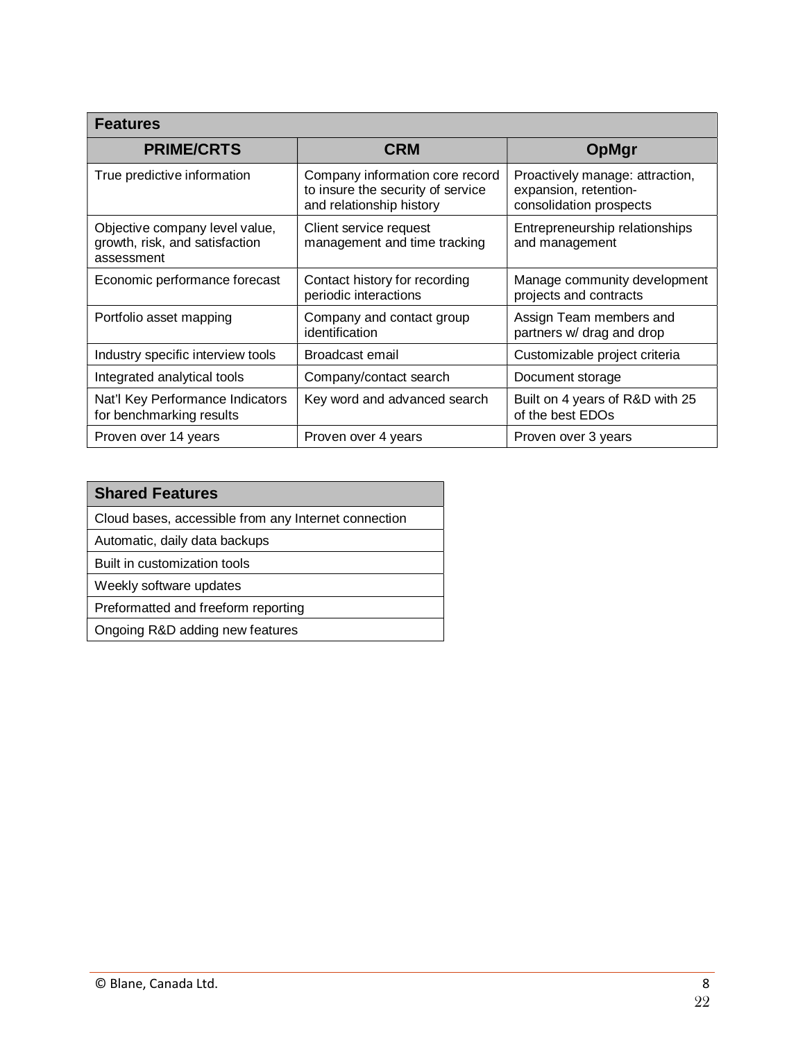| <b>Features</b>                                                                |                                                                                                  |                                                                                     |
|--------------------------------------------------------------------------------|--------------------------------------------------------------------------------------------------|-------------------------------------------------------------------------------------|
| <b>PRIME/CRTS</b>                                                              | <b>CRM</b>                                                                                       | <b>OpMgr</b>                                                                        |
| True predictive information                                                    | Company information core record<br>to insure the security of service<br>and relationship history | Proactively manage: attraction,<br>expansion, retention-<br>consolidation prospects |
| Objective company level value,<br>growth, risk, and satisfaction<br>assessment | Client service request<br>management and time tracking                                           | Entrepreneurship relationships<br>and management                                    |
| Economic performance forecast                                                  | Contact history for recording<br>periodic interactions                                           | Manage community development<br>projects and contracts                              |
| Portfolio asset mapping                                                        | Company and contact group<br>identification                                                      | Assign Team members and<br>partners w/ drag and drop                                |
| Industry specific interview tools                                              | Broadcast email                                                                                  | Customizable project criteria                                                       |
| Integrated analytical tools                                                    | Company/contact search                                                                           | Document storage                                                                    |
| Nat'l Key Performance Indicators<br>for benchmarking results                   | Key word and advanced search                                                                     | Built on 4 years of R&D with 25<br>of the best EDOs                                 |
| Proven over 14 years                                                           | Proven over 4 years                                                                              | Proven over 3 years                                                                 |

# **Shared Features**  Cloud bases, accessible from any Internet connection Automatic, daily data backups

Built in customization tools

Weekly software updates

Preformatted and freeform reporting

Ongoing R&D adding new features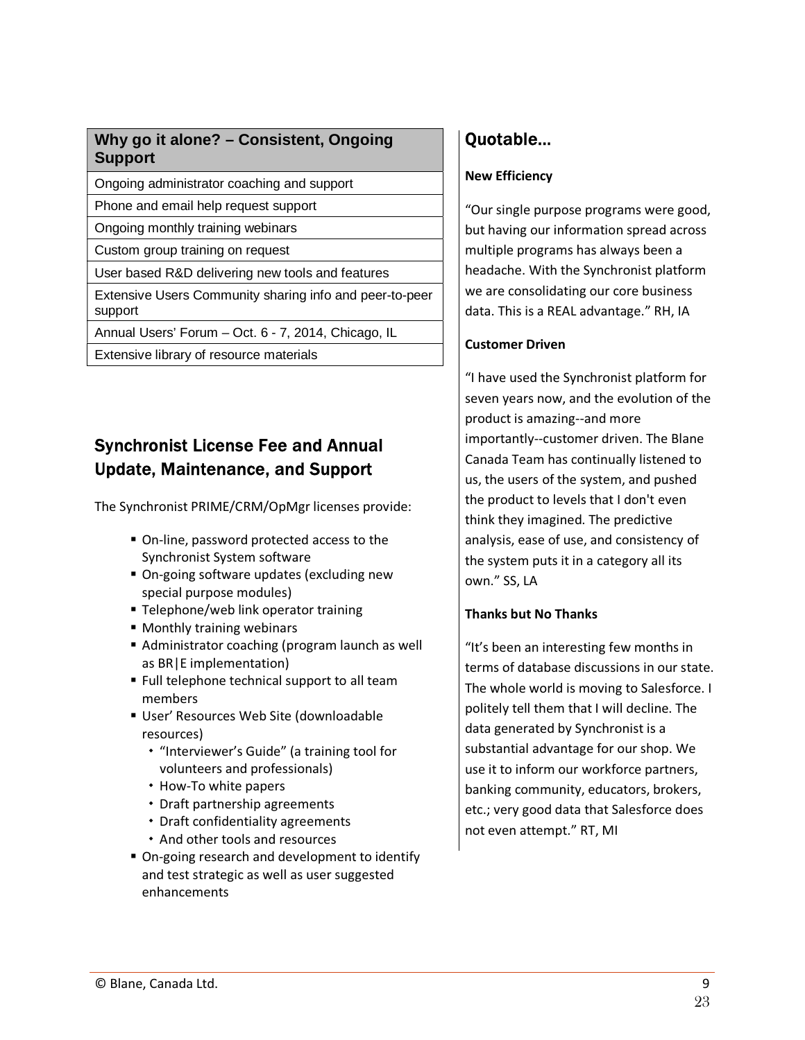# **Why go it alone? – Consistent, Ongoing Support**

Ongoing administrator coaching and support

Phone and email help request support

Ongoing monthly training webinars

Custom group training on request

User based R&D delivering new tools and features

Extensive Users Community sharing info and peer-to-peer support

Annual Users' Forum – Oct. 6 - 7, 2014, Chicago, IL

Extensive library of resource materials

# **Synchronist License Fee and Annual Update, Maintenance, and Support**

The Synchronist PRIME/CRM/OpMgr licenses provide:

- On-line, password protected access to the Synchronist System software
- On-going software updates (excluding new special purpose modules)
- **Telephone/web link operator training**
- **Monthly training webinars**
- Administrator coaching (program launch as well as BR|E implementation)
- **F** Full telephone technical support to all team members
- � User' Resources Web Site (downloadable resources)
	- � "Interviewer's Guide" (a training tool for volunteers and professionals)
	- How-To white papers
	- � Draft partnership agreements
	- � Draft confidentiality agreements
	- � And other tools and resources
- On-going research and development to identify and test strategic as well as user suggested enhancements

# Quotable...

# **New Efficiency**

"Our single purpose programs were good, but having our information spread across multiple programs has always been a headache. With the Synchronist platform we are consolidating our core business data. This is a REAL advantage." RH, IA

# **Customer Driven**

"I have used the Synchronist platform for seven years now, and the evolution of the product is amazing--and more importantly--customer driven. The Blane Canada Team has continually listened to us, the users of the system, and pushed the product to levels that I don't even think they imagined. The predictive analysis, ease of use, and consistency of the system puts it in a category all its own." SS, LA

# **Thanks but No Thanks**

"It's been an interesting few months in terms of database discussions in our state. The whole world is moving to Salesforce. I politely tell them that I will decline. The data generated by Synchronist is a substantial advantage for our shop. We use it to inform our workforce partners, banking community, educators, brokers, etc.; very good data that Salesforce does not even attempt." RT, MI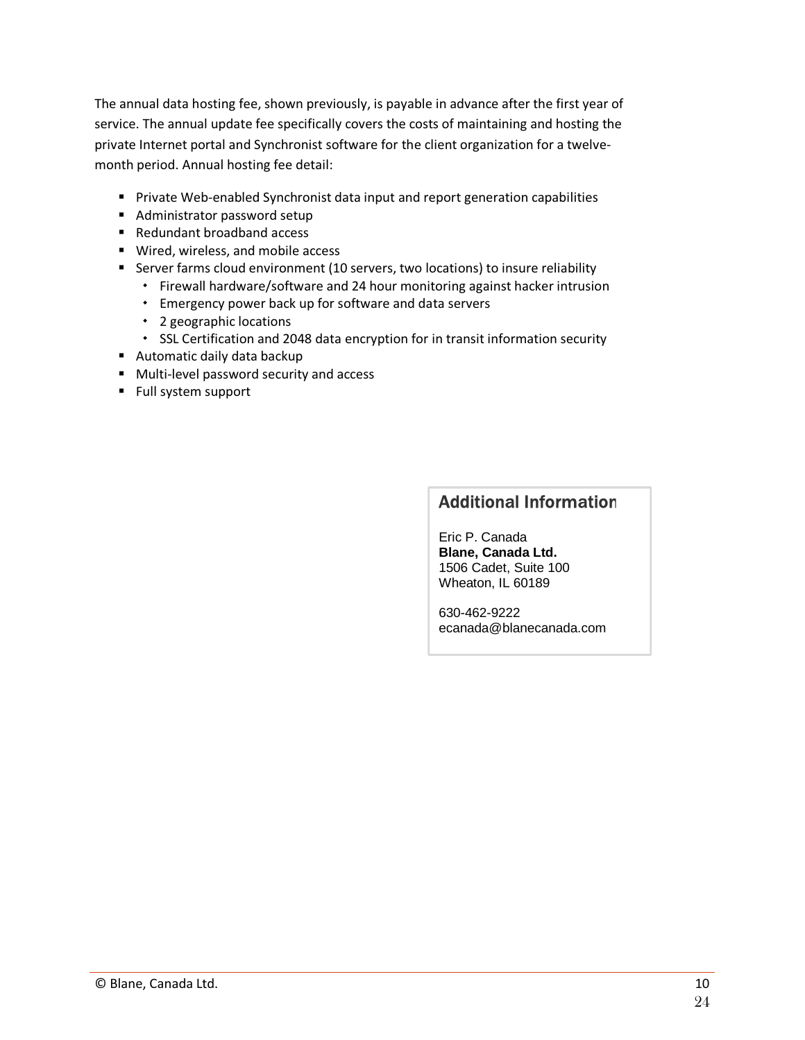The annual data hosting fee, shown previously, is payable in advance after the first year of service. The annual update fee specifically covers the costs of maintaining and hosting the private Internet portal and Synchronist software for the client organization for a twelvemonth period. Annual hosting fee detail:

- **Private Web-enabled Synchronist data input and report generation capabilities**
- Administrator password setup
- Redundant broadband access
- Wired, wireless, and mobile access
- � Server farms cloud environment (10 servers, two locations) to insure reliability
	- � Firewall hardware/software and 24 hour monitoring against hacker intrusion
	- � Emergency power back up for software and data servers
	- 2 geographic locations
	- � SSL Certification and 2048 data encryption for in transit information security
- Automatic daily data backup
- $\blacksquare$  Multi-level password security and access
- Full system support

# **Additional Information**

Eric P. Canada **Blane, Canada Ltd.**  1506 Cadet, Suite 100 Wheaton, IL 60189

630-462-9222 ecanada@blanecanada.com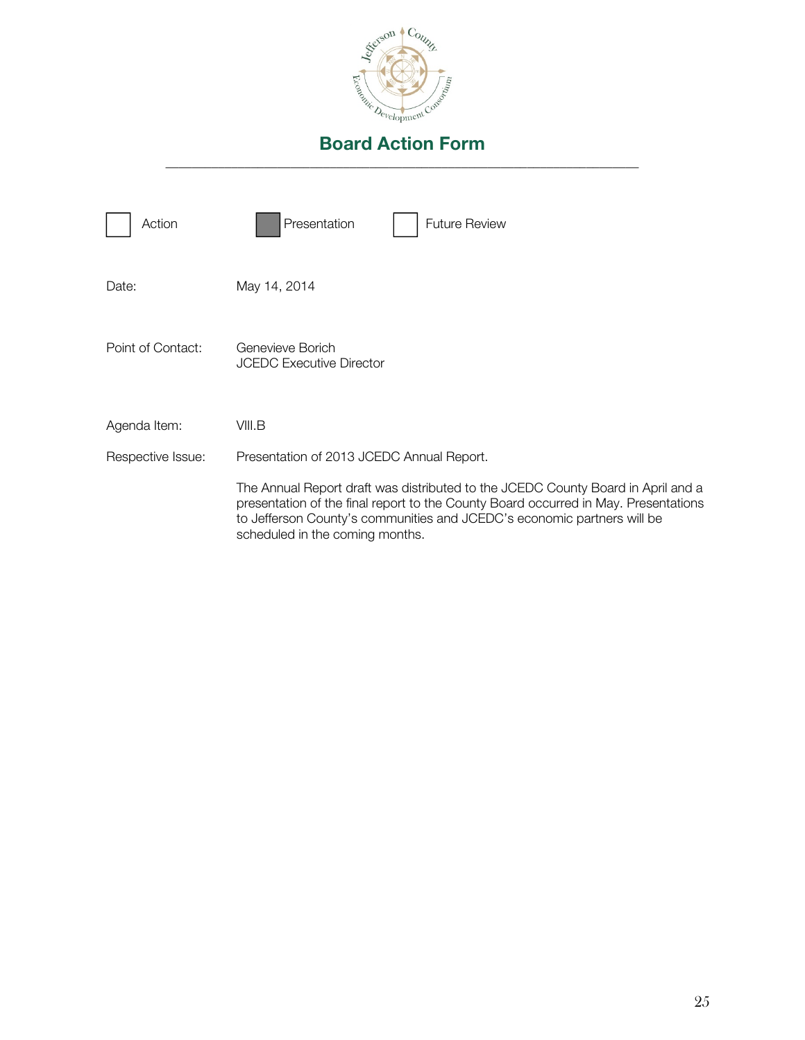

| Action            | Presentation<br><b>Future Review</b>                                                                                                                                                                                                                                                  |
|-------------------|---------------------------------------------------------------------------------------------------------------------------------------------------------------------------------------------------------------------------------------------------------------------------------------|
| Date:             | May 14, 2014                                                                                                                                                                                                                                                                          |
| Point of Contact: | Genevieve Borich<br><b>JCEDC Executive Director</b>                                                                                                                                                                                                                                   |
| Agenda Item:      | VIII.B                                                                                                                                                                                                                                                                                |
| Respective Issue: | Presentation of 2013 JCEDC Annual Report.                                                                                                                                                                                                                                             |
|                   | The Annual Report draft was distributed to the JCEDC County Board in April and a<br>presentation of the final report to the County Board occurred in May. Presentations<br>to Jefferson County's communities and JCEDC's economic partners will be<br>scheduled in the coming months. |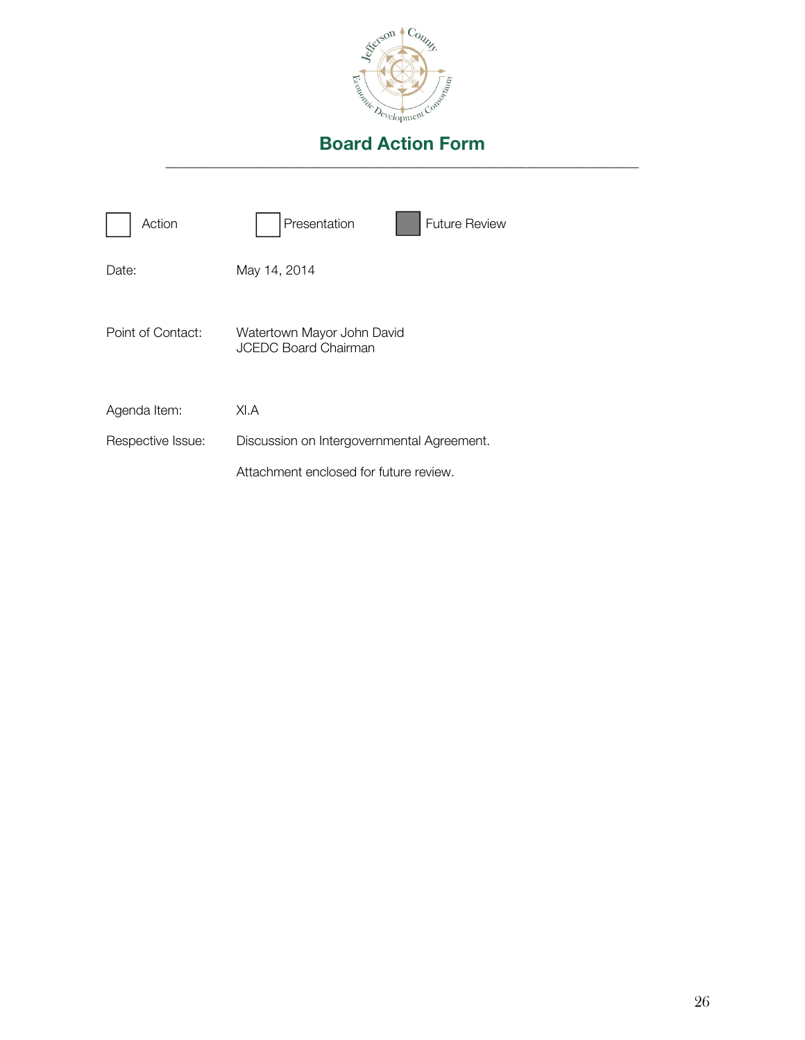

| Action            | Presentation<br><b>Future Review</b>                      |
|-------------------|-----------------------------------------------------------|
| Date:             | May 14, 2014                                              |
| Point of Contact: | Watertown Mayor John David<br><b>JCEDC Board Chairman</b> |
| Agenda Item:      | XI.A                                                      |
| Respective Issue: | Discussion on Intergovernmental Agreement.                |
|                   | Attachment enclosed for future review.                    |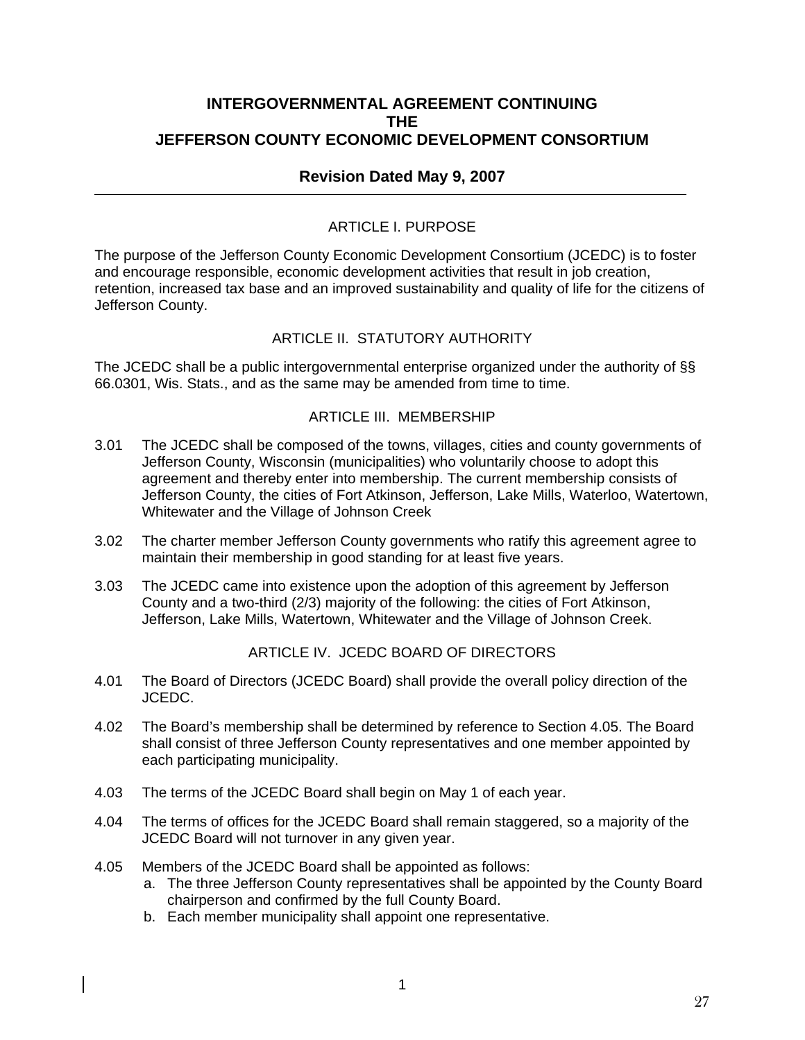# **INTERGOVERNMENTAL AGREEMENT CONTINUING THE JEFFERSON COUNTY ECONOMIC DEVELOPMENT CONSORTIUM**

# **Revision Dated May 9, 2007**

## ARTICLE L PURPOSE

The purpose of the Jefferson County Economic Development Consortium (JCEDC) is to foster and encourage responsible, economic development activities that result in job creation, retention, increased tax base and an improved sustainability and quality of life for the citizens of Jefferson County.

# ARTICLE II. STATUTORY AUTHORITY

The JCEDC shall be a public intergovernmental enterprise organized under the authority of §§ 66.0301, Wis. Stats., and as the same may be amended from time to time.

### ARTICLE III. MEMBERSHIP

- 3.01 The JCEDC shall be composed of the towns, villages, cities and county governments of Jefferson County, Wisconsin (municipalities) who voluntarily choose to adopt this agreement and thereby enter into membership. The current membership consists of Jefferson County, the cities of Fort Atkinson, Jefferson, Lake Mills, Waterloo, Watertown, Whitewater and the Village of Johnson Creek
- 3.02 The charter member Jefferson County governments who ratify this agreement agree to maintain their membership in good standing for at least five years.
- 3.03 The JCEDC came into existence upon the adoption of this agreement by Jefferson County and a two-third (2/3) majority of the following: the cities of Fort Atkinson, Jefferson, Lake Mills, Watertown, Whitewater and the Village of Johnson Creek.

### ARTICLE IV. JCEDC BOARD OF DIRECTORS

- 4.01 The Board of Directors (JCEDC Board) shall provide the overall policy direction of the JCEDC.
- 4.02 The Board's membership shall be determined by reference to Section 4.05. The Board shall consist of three Jefferson County representatives and one member appointed by each participating municipality.
- 4.03 The terms of the JCEDC Board shall begin on May 1 of each year.
- 4.04 The terms of offices for the JCEDC Board shall remain staggered, so a majority of the JCEDC Board will not turnover in any given year.
- 4.05 Members of the JCEDC Board shall be appointed as follows:
	- a. The three Jefferson County representatives shall be appointed by the County Board chairperson and confirmed by the full County Board.
	- b. Each member municipality shall appoint one representative.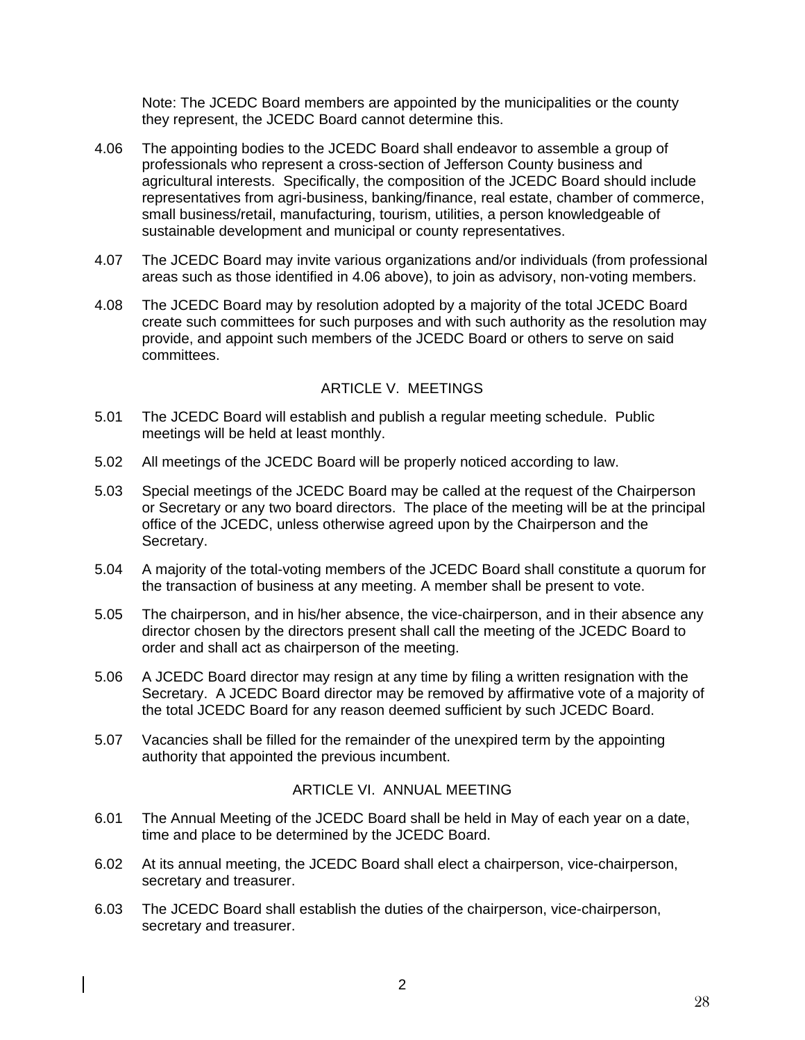Note: The JCEDC Board members are appointed by the municipalities or the county they represent, the JCEDC Board cannot determine this.

- 4.06 The appointing bodies to the JCEDC Board shall endeavor to assemble a group of professionals who represent a cross-section of Jefferson County business and agricultural interests. Specifically, the composition of the JCEDC Board should include representatives from agri-business, banking/finance, real estate, chamber of commerce, small business/retail, manufacturing, tourism, utilities, a person knowledgeable of sustainable development and municipal or county representatives.
- 4.07 The JCEDC Board may invite various organizations and/or individuals (from professional areas such as those identified in 4.06 above), to join as advisory, non-voting members.
- 4.08 The JCEDC Board may by resolution adopted by a majority of the total JCEDC Board create such committees for such purposes and with such authority as the resolution may provide, and appoint such members of the JCEDC Board or others to serve on said committees.

### ARTICLE V. MEETINGS

- 5.01 The JCEDC Board will establish and publish a regular meeting schedule. Public meetings will be held at least monthly.
- 5.02 All meetings of the JCEDC Board will be properly noticed according to law.
- 5.03 Special meetings of the JCEDC Board may be called at the request of the Chairperson or Secretary or any two board directors. The place of the meeting will be at the principal office of the JCEDC, unless otherwise agreed upon by the Chairperson and the Secretary.
- 5.04 A majority of the total-voting members of the JCEDC Board shall constitute a quorum for the transaction of business at any meeting. A member shall be present to vote.
- 5.05 The chairperson, and in his/her absence, the vice-chairperson, and in their absence any director chosen by the directors present shall call the meeting of the JCEDC Board to order and shall act as chairperson of the meeting.
- 5.06 A JCEDC Board director may resign at any time by filing a written resignation with the Secretary. A JCEDC Board director may be removed by affirmative vote of a majority of the total JCEDC Board for any reason deemed sufficient by such JCEDC Board.
- 5.07 Vacancies shall be filled for the remainder of the unexpired term by the appointing authority that appointed the previous incumbent.

### ARTICLE VI. ANNUAL MEETING

- 6.01 The Annual Meeting of the JCEDC Board shall be held in May of each year on a date, time and place to be determined by the JCEDC Board.
- 6.02 At its annual meeting, the JCEDC Board shall elect a chairperson, vice-chairperson, secretary and treasurer.
- 6.03 The JCEDC Board shall establish the duties of the chairperson, vice-chairperson, secretary and treasurer.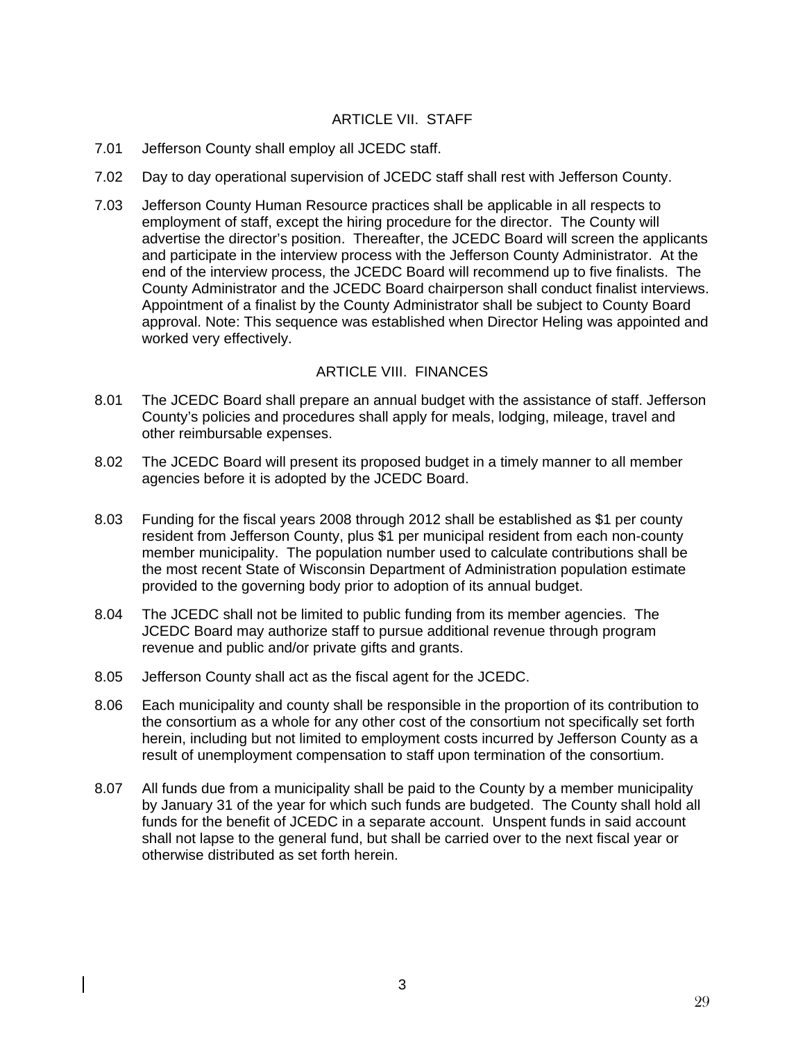## ARTICLE VIL STAFF

- 7.01 Jefferson County shall employ all JCEDC staff.
- 7.02 Day to day operational supervision of JCEDC staff shall rest with Jefferson County.
- 7.03 Jefferson County Human Resource practices shall be applicable in all respects to employment of staff, except the hiring procedure for the director. The County will advertise the director's position. Thereafter, the JCEDC Board will screen the applicants and participate in the interview process with the Jefferson County Administrator. At the end of the interview process, the JCEDC Board will recommend up to five finalists. The County Administrator and the JCEDC Board chairperson shall conduct finalist interviews. Appointment of a finalist by the County Administrator shall be subject to County Board approval. Note: This sequence was established when Director Heling was appointed and worked very effectively.

### ARTICLE VIII. FINANCES

- 8.01 The JCEDC Board shall prepare an annual budget with the assistance of staff. Jefferson County's policies and procedures shall apply for meals, lodging, mileage, travel and other reimbursable expenses.
- 8.02 The JCEDC Board will present its proposed budget in a timely manner to all member agencies before it is adopted by the JCEDC Board.
- 8.03 Funding for the fiscal years 2008 through 2012 shall be established as \$1 per county resident from Jefferson County, plus \$1 per municipal resident from each non-county member municipality. The population number used to calculate contributions shall be the most recent State of Wisconsin Department of Administration population estimate provided to the governing body prior to adoption of its annual budget.
- 8.04 The JCEDC shall not be limited to public funding from its member agencies. The JCEDC Board may authorize staff to pursue additional revenue through program revenue and public and/or private gifts and grants.
- 8.05 Jefferson County shall act as the fiscal agent for the JCEDC.
- 8.06 Each municipality and county shall be responsible in the proportion of its contribution to the consortium as a whole for any other cost of the consortium not specifically set forth herein, including but not limited to employment costs incurred by Jefferson County as a result of unemployment compensation to staff upon termination of the consortium.
- 8.07 All funds due from a municipality shall be paid to the County by a member municipality by January 31 of the year for which such funds are budgeted. The County shall hold all funds for the benefit of JCEDC in a separate account. Unspent funds in said account shall not lapse to the general fund, but shall be carried over to the next fiscal year or otherwise distributed as set forth herein.